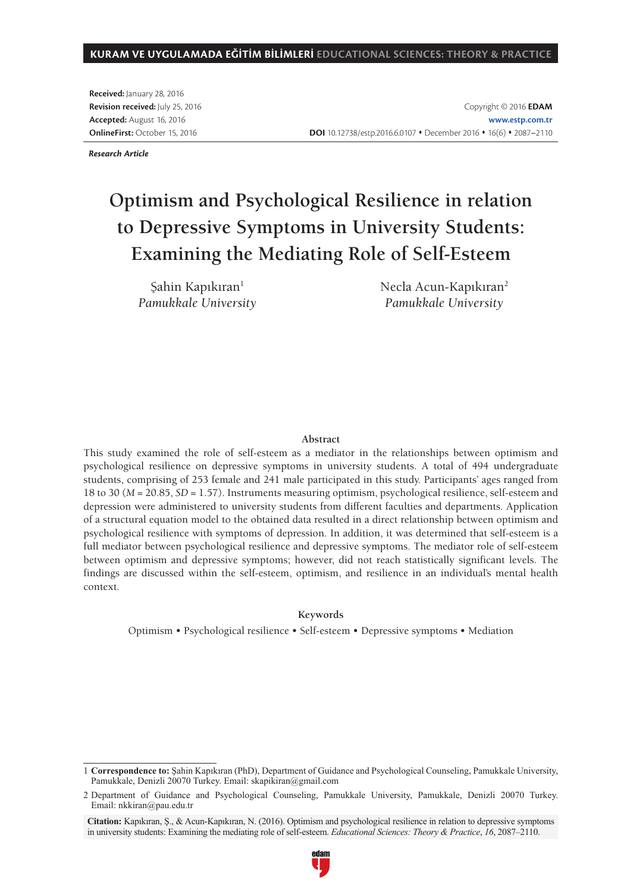#### **KURAM VE UYGULAMADA EĞİTİM BİLİMLERİ EDUCATIONAL SCIENCES: THEORY & PRACTICE**

**Received:** January 28, 2016 **Revision received:** July 25, 2016 **Accepted:** August 16, 2016 **OnlineFirst:** October 15, 2016

Copyright © 2016 **EDAM www.estp.com.tr** DOI 10.12738/estp.2016.6.0107 • December 2016 • 16(6) • 2087-2110

*Research Article*

# **Optimism and Psychological Resilience in relation to Depressive Symptoms in University Students: Examining the Mediating Role of Self-Esteem**

Sahin Kapıkıran<sup>1</sup> *Pamukkale University* Necla Acun-Kapıkıran<sup>2</sup> *Pamukkale University*

#### **Abstract**

This study examined the role of self-esteem as a mediator in the relationships between optimism and psychological resilience on depressive symptoms in university students. A total of 494 undergraduate students, comprising of 253 female and 241 male participated in this study. Participants' ages ranged from 18 to 30 (*M* = 20.85, *SD* = 1.57). Instruments measuring optimism, psychological resilience, self-esteem and depression were administered to university students from different faculties and departments. Application of a structural equation model to the obtained data resulted in a direct relationship between optimism and psychological resilience with symptoms of depression. In addition, it was determined that self-esteem is a full mediator between psychological resilience and depressive symptoms. The mediator role of self-esteem between optimism and depressive symptoms; however, did not reach statistically significant levels. The findings are discussed within the self-esteem, optimism, and resilience in an individual's mental health context.

#### **Keywords**

Optimism • Psychological resilience • Self-esteem • Depressive symptoms • Mediation

**Citation:** Kapıkıran, Ş., & Acun-Kapıkıran, N. (2016). Optimism and psychological resilience in relation to depressive symptoms in university students: Examining the mediating role of self-esteem. *Educational Sciences: Theory & Practice*, *16*, 2087–2110.



<sup>1</sup> **Correspondence to:** Şahin Kapıkıran (PhD), Department of Guidance and Psychological Counseling, Pamukkale University, Pamukkale, Denizli 20070 Turkey. Email: skapikiran@gmail.com

<sup>2</sup> Department of Guidance and Psychological Counseling, Pamukkale University, Pamukkale, Denizli 20070 Turkey. Email: nkkiran@pau.edu.tr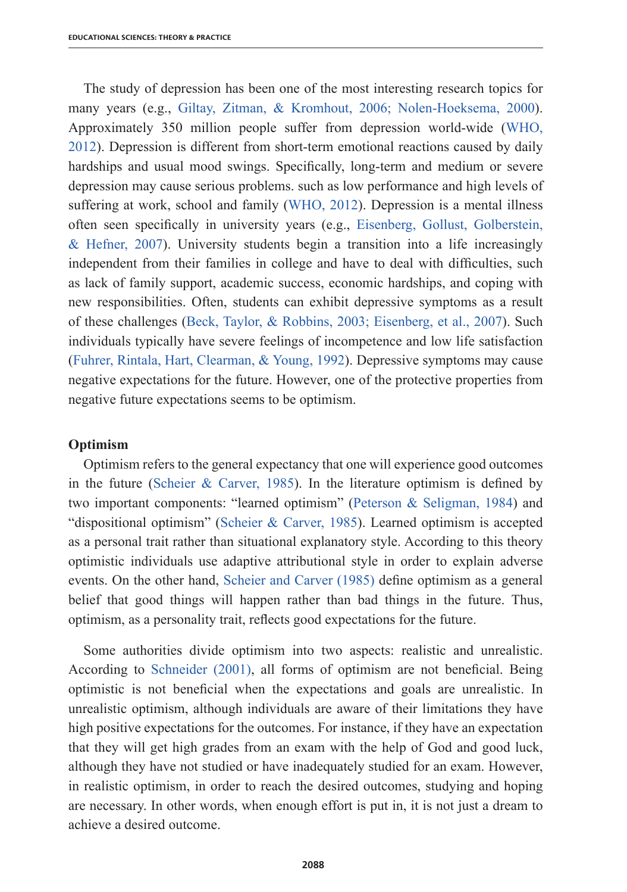The study of depression has been one of the most interesting research topics for many years (e.g., Giltay, Zitman, & Kromhout, 2006; Nolen-Hoeksema, 2000). Approximately 350 million people suffer from depression world-wide (WHO, 2012). Depression is different from short-term emotional reactions caused by daily hardships and usual mood swings. Specifically, long-term and medium or severe depression may cause serious problems. such as low performance and high levels of suffering at work, school and family (WHO, 2012). Depression is a mental illness often seen specifically in university years (e.g., Eisenberg, Gollust, Golberstein, & Hefner, 2007). University students begin a transition into a life increasingly independent from their families in college and have to deal with difficulties, such as lack of family support, academic success, economic hardships, and coping with new responsibilities. Often, students can exhibit depressive symptoms as a result of these challenges (Beck, Taylor, & Robbins, 2003; Eisenberg, et al., 2007). Such individuals typically have severe feelings of incompetence and low life satisfaction (Fuhrer, Rintala, Hart, Clearman, & Young, 1992). Depressive symptoms may cause negative expectations for the future. However, one of the protective properties from negative future expectations seems to be optimism.

## **Optimism**

Optimism refers to the general expectancy that one will experience good outcomes in the future (Scheier & Carver, 1985). In the literature optimism is defined by two important components: "learned optimism" (Peterson & Seligman, 1984) and "dispositional optimism" (Scheier & Carver, 1985). Learned optimism is accepted as a personal trait rather than situational explanatory style. According to this theory optimistic individuals use adaptive attributional style in order to explain adverse events. On the other hand, Scheier and Carver (1985) define optimism as a general belief that good things will happen rather than bad things in the future. Thus, optimism, as a personality trait, reflects good expectations for the future.

Some authorities divide optimism into two aspects: realistic and unrealistic. According to Schneider (2001), all forms of optimism are not beneficial. Being optimistic is not beneficial when the expectations and goals are unrealistic. In unrealistic optimism, although individuals are aware of their limitations they have high positive expectations for the outcomes. For instance, if they have an expectation that they will get high grades from an exam with the help of God and good luck, although they have not studied or have inadequately studied for an exam. However, in realistic optimism, in order to reach the desired outcomes, studying and hoping are necessary. In other words, when enough effort is put in, it is not just a dream to achieve a desired outcome.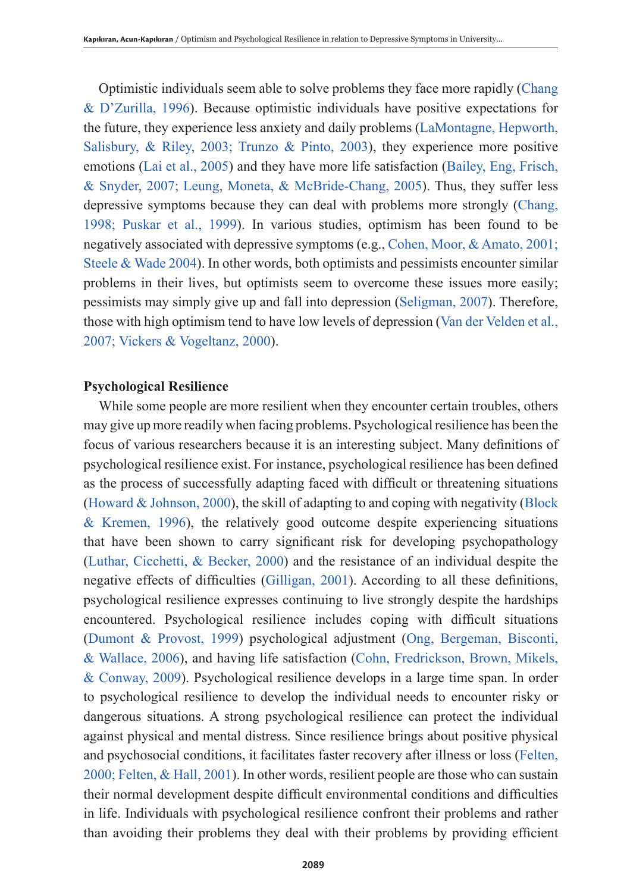Optimistic individuals seem able to solve problems they face more rapidly (Chang & D'Zurilla, 1996). Because optimistic individuals have positive expectations for the future, they experience less anxiety and daily problems (LaMontagne, Hepworth, Salisbury, & Riley, 2003; Trunzo & Pinto, 2003), they experience more positive emotions (Lai et al., 2005) and they have more life satisfaction (Bailey, Eng, Frisch, & Snyder, 2007; Leung, Moneta, & McBride-Chang, 2005). Thus, they suffer less depressive symptoms because they can deal with problems more strongly (Chang, 1998; Puskar et al., 1999). In various studies, optimism has been found to be negatively associated with depressive symptoms (e.g., Cohen, Moor, & Amato, 2001; Steele & Wade 2004). In other words, both optimists and pessimists encounter similar problems in their lives, but optimists seem to overcome these issues more easily; pessimists may simply give up and fall into depression (Seligman, 2007). Therefore, those with high optimism tend to have low levels of depression (Van der Velden et al., 2007; Vickers & Vogeltanz, 2000).

#### **Psychological Resilience**

While some people are more resilient when they encounter certain troubles, others may give up more readily when facing problems. Psychological resilience has been the focus of various researchers because it is an interesting subject. Many definitions of psychological resilience exist. For instance, psychological resilience has been defined as the process of successfully adapting faced with difficult or threatening situations (Howard & Johnson, 2000), the skill of adapting to and coping with negativity (Block & Kremen, 1996), the relatively good outcome despite experiencing situations that have been shown to carry significant risk for developing psychopathology (Luthar, Cicchetti, & Becker, 2000) and the resistance of an individual despite the negative effects of difficulties (Gilligan, 2001). According to all these definitions, psychological resilience expresses continuing to live strongly despite the hardships encountered. Psychological resilience includes coping with difficult situations (Dumont & Provost, 1999) psychological adjustment (Ong, Bergeman, Bisconti, & Wallace, 2006), and having life satisfaction (Cohn, Fredrickson, Brown, Mikels, & Conway, 2009). Psychological resilience develops in a large time span. In order to psychological resilience to develop the individual needs to encounter risky or dangerous situations. A strong psychological resilience can protect the individual against physical and mental distress. Since resilience brings about positive physical and psychosocial conditions, it facilitates faster recovery after illness or loss (Felten, 2000; Felten, & Hall, 2001). In other words, resilient people are those who can sustain their normal development despite difficult environmental conditions and difficulties in life. Individuals with psychological resilience confront their problems and rather than avoiding their problems they deal with their problems by providing efficient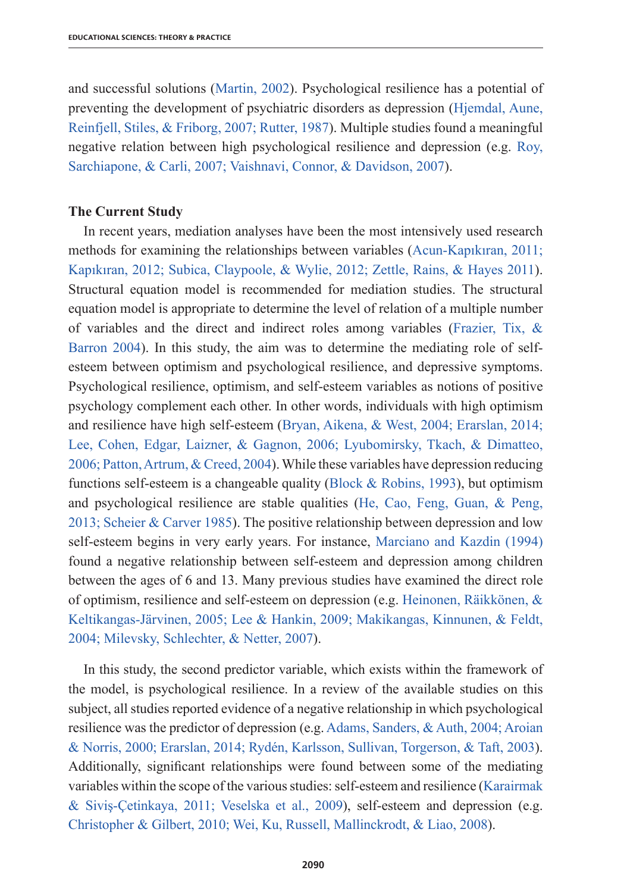and successful solutions (Martin, 2002). Psychological resilience has a potential of preventing the development of psychiatric disorders as depression (Hjemdal, Aune, Reinfjell, Stiles, & Friborg, 2007; Rutter, 1987). Multiple studies found a meaningful negative relation between high psychological resilience and depression (e.g. Roy, Sarchiapone, & Carli, 2007; Vaishnavi, Connor, & Davidson, 2007).

## **The Current Study**

In recent years, mediation analyses have been the most intensively used research methods for examining the relationships between variables (Acun-Kapıkıran, 2011; Kapıkıran, 2012; Subica, Claypoole, & Wylie, 2012; Zettle, Rains, & Hayes 2011). Structural equation model is recommended for mediation studies. The structural equation model is appropriate to determine the level of relation of a multiple number of variables and the direct and indirect roles among variables (Frazier, Tix, & Barron 2004). In this study, the aim was to determine the mediating role of selfesteem between optimism and psychological resilience, and depressive symptoms. Psychological resilience, optimism, and self-esteem variables as notions of positive psychology complement each other. In other words, individuals with high optimism and resilience have high self-esteem (Bryan, Aikena, & West, 2004; Erarslan, 2014; Lee, Cohen, Edgar, Laizner, & Gagnon, 2006; Lyubomirsky, Tkach, & Dimatteo, 2006; Patton, Artrum, & Creed, 2004). While these variables have depression reducing functions self-esteem is a changeable quality (Block & Robins, 1993), but optimism and psychological resilience are stable qualities (He, Cao, Feng, Guan, & Peng, 2013; Scheier & Carver 1985). The positive relationship between depression and low self-esteem begins in very early years. For instance, Marciano and Kazdin (1994) found a negative relationship between self-esteem and depression among children between the ages of 6 and 13. Many previous studies have examined the direct role of optimism, resilience and self-esteem on depression (e.g. Heinonen, Räikkönen, & Keltikangas-Järvinen, 2005; Lee & Hankin, 2009; Makikangas, Kinnunen, & Feldt, 2004; Milevsky, Schlechter, & Netter, 2007).

In this study, the second predictor variable, which exists within the framework of the model, is psychological resilience. In a review of the available studies on this subject, all studies reported evidence of a negative relationship in which psychological resilience was the predictor of depression (e.g. Adams, Sanders, & Auth, 2004; Aroian & Norris, 2000; Erarslan, 2014; Rydén, Karlsson, Sullivan, Torgerson, & Taft, 2003). Additionally, significant relationships were found between some of the mediating variables within the scope of the various studies: self-esteem and resilience (Karairmak & Siviş-Çetinkaya, 2011; Veselska et al., 2009), self-esteem and depression (e.g. Christopher & Gilbert, 2010; Wei, Ku, Russell, Mallinckrodt, & Liao, 2008).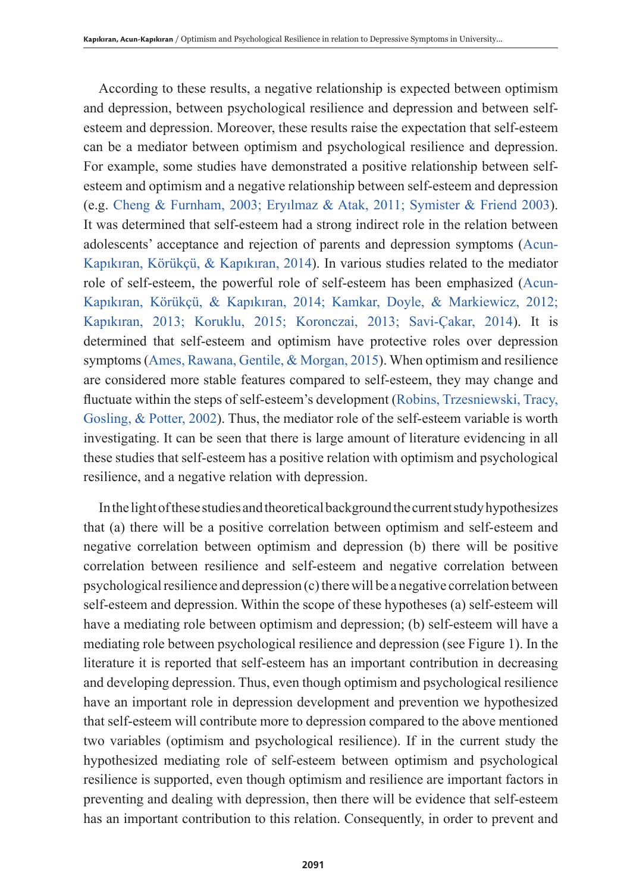According to these results, a negative relationship is expected between optimism and depression, between psychological resilience and depression and between selfesteem and depression. Moreover, these results raise the expectation that self-esteem can be a mediator between optimism and psychological resilience and depression. For example, some studies have demonstrated a positive relationship between selfesteem and optimism and a negative relationship between self-esteem and depression (e.g. Cheng & Furnham, 2003; Eryılmaz & Atak, 2011; Symister & Friend 2003). It was determined that self-esteem had a strong indirect role in the relation between adolescents' acceptance and rejection of parents and depression symptoms (Acun-Kapıkıran, Körükçü, & Kapıkıran, 2014). In various studies related to the mediator role of self-esteem, the powerful role of self-esteem has been emphasized (Acun-Kapıkıran, Körükçü, & Kapıkıran, 2014; Kamkar, Doyle, & Markiewicz, 2012; Kapıkıran, 2013; Koruklu, 2015; Koronczai, 2013; Savi-Çakar, 2014). It is determined that self-esteem and optimism have protective roles over depression symptoms (Ames, Rawana, Gentile, & Morgan, 2015). When optimism and resilience are considered more stable features compared to self-esteem, they may change and fluctuate within the steps of self-esteem's development (Robins, Trzesniewski, Tracy, Gosling, & Potter, 2002). Thus, the mediator role of the self-esteem variable is worth investigating. It can be seen that there is large amount of literature evidencing in all these studies that self-esteem has a positive relation with optimism and psychological resilience, and a negative relation with depression.

In the light of these studies and theoretical background the current study hypothesizes that (a) there will be a positive correlation between optimism and self-esteem and negative correlation between optimism and depression (b) there will be positive correlation between resilience and self-esteem and negative correlation between psychological resilience and depression (c) there will be a negative correlation between self-esteem and depression. Within the scope of these hypotheses (a) self-esteem will have a mediating role between optimism and depression; (b) self-esteem will have a mediating role between psychological resilience and depression (see Figure 1). In the literature it is reported that self-esteem has an important contribution in decreasing and developing depression. Thus, even though optimism and psychological resilience have an important role in depression development and prevention we hypothesized that self-esteem will contribute more to depression compared to the above mentioned two variables (optimism and psychological resilience). If in the current study the hypothesized mediating role of self-esteem between optimism and psychological resilience is supported, even though optimism and resilience are important factors in preventing and dealing with depression, then there will be evidence that self-esteem has an important contribution to this relation. Consequently, in order to prevent and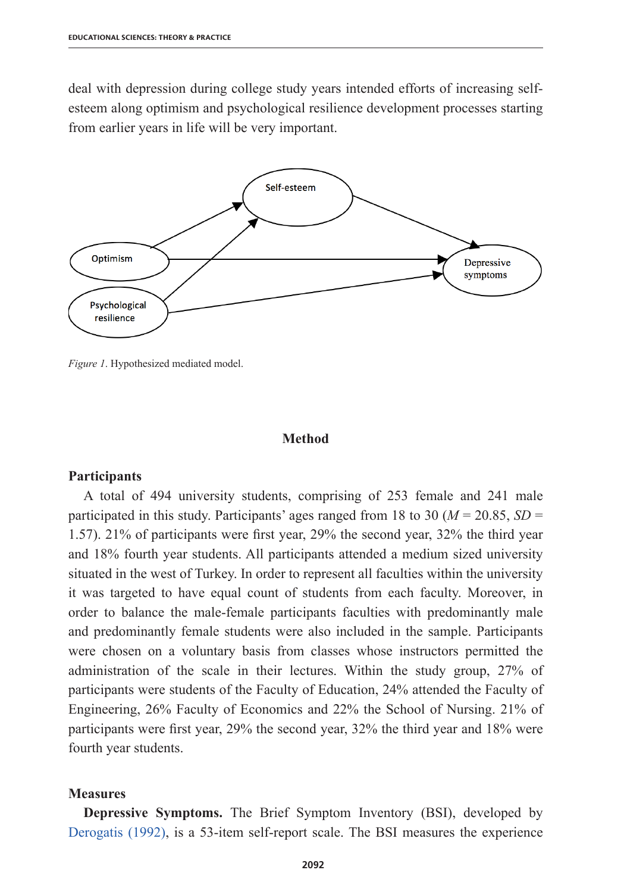deal with depression during college study years intended efforts of increasing selfesteem along optimism and psychological resilience development processes starting from earlier years in life will be very important.



*Figure 1*. Hypothesized mediated model.

## **Method**

#### **Participants**

A total of 494 university students, comprising of 253 female and 241 male participated in this study. Participants' ages ranged from 18 to 30 (*M* = 20.85, *SD* = 1.57). 21% of participants were first year, 29% the second year, 32% the third year and 18% fourth year students. All participants attended a medium sized university situated in the west of Turkey. In order to represent all faculties within the university it was targeted to have equal count of students from each faculty. Moreover, in order to balance the male-female participants faculties with predominantly male and predominantly female students were also included in the sample. Participants were chosen on a voluntary basis from classes whose instructors permitted the administration of the scale in their lectures. Within the study group, 27% of participants were students of the Faculty of Education, 24% attended the Faculty of Engineering, 26% Faculty of Economics and 22% the School of Nursing. 21% of participants were first year, 29% the second year, 32% the third year and 18% were fourth year students.

#### **Measures**

**Depressive Symptoms.** The Brief Symptom Inventory (BSI), developed by Derogatis (1992), is a 53-item self-report scale. The BSI measures the experience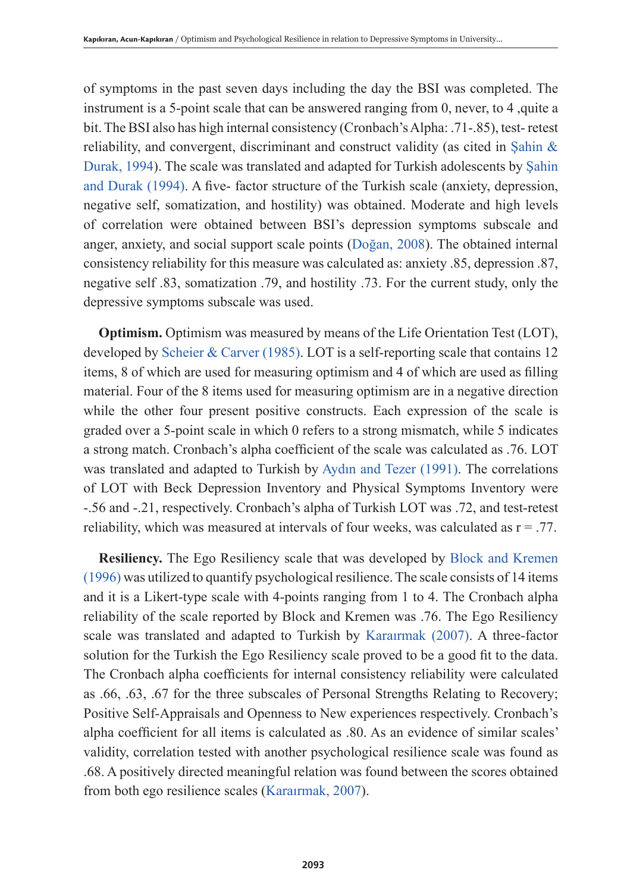of symptoms in the past seven days including the day the BSI was completed. The instrument is a 5-point scale that can be answered ranging from 0, never, to 4 ,quite a bit. The BSI also has high internal consistency (Cronbach's Alpha: .71-.85), test- retest reliability, and convergent, discriminant and construct validity (as cited in Şahin & Durak, 1994). The scale was translated and adapted for Turkish adolescents by Şahin and Durak (1994). A five- factor structure of the Turkish scale (anxiety, depression, negative self, somatization, and hostility) was obtained. Moderate and high levels of correlation were obtained between BSI's depression symptoms subscale and anger, anxiety, and social support scale points (Doğan, 2008). The obtained internal consistency reliability for this measure was calculated as: anxiety .85, depression .87, negative self .83, somatization .79, and hostility .73. For the current study, only the depressive symptoms subscale was used.

**Optimism.** Optimism was measured by means of the Life Orientation Test (LOT), developed by Scheier & Carver (1985). LOT is a self-reporting scale that contains 12 items, 8 of which are used for measuring optimism and 4 of which are used as filling material. Four of the 8 items used for measuring optimism are in a negative direction while the other four present positive constructs. Each expression of the scale is graded over a 5-point scale in which 0 refers to a strong mismatch, while 5 indicates a strong match. Cronbach's alpha coefficient of the scale was calculated as .76. LOT was translated and adapted to Turkish by Aydın and Tezer (1991). The correlations of LOT with Beck Depression Inventory and Physical Symptoms Inventory were -.56 and -.21, respectively. Cronbach's alpha of Turkish LOT was .72, and test-retest reliability, which was measured at intervals of four weeks, was calculated as  $r = .77$ .

**Resiliency.** The Ego Resiliency scale that was developed by Block and Kremen (1996) was utilized to quantify psychological resilience. The scale consists of 14 items and it is a Likert-type scale with 4-points ranging from 1 to 4. The Cronbach alpha reliability of the scale reported by Block and Kremen was .76. The Ego Resiliency scale was translated and adapted to Turkish by Karaırmak (2007). A three-factor solution for the Turkish the Ego Resiliency scale proved to be a good fit to the data. The Cronbach alpha coefficients for internal consistency reliability were calculated as .66, .63, .67 for the three subscales of Personal Strengths Relating to Recovery; Positive Self-Appraisals and Openness to New experiences respectively. Cronbach's alpha coefficient for all items is calculated as .80. As an evidence of similar scales' validity, correlation tested with another psychological resilience scale was found as .68. A positively directed meaningful relation was found between the scores obtained from both ego resilience scales (Karaırmak, 2007).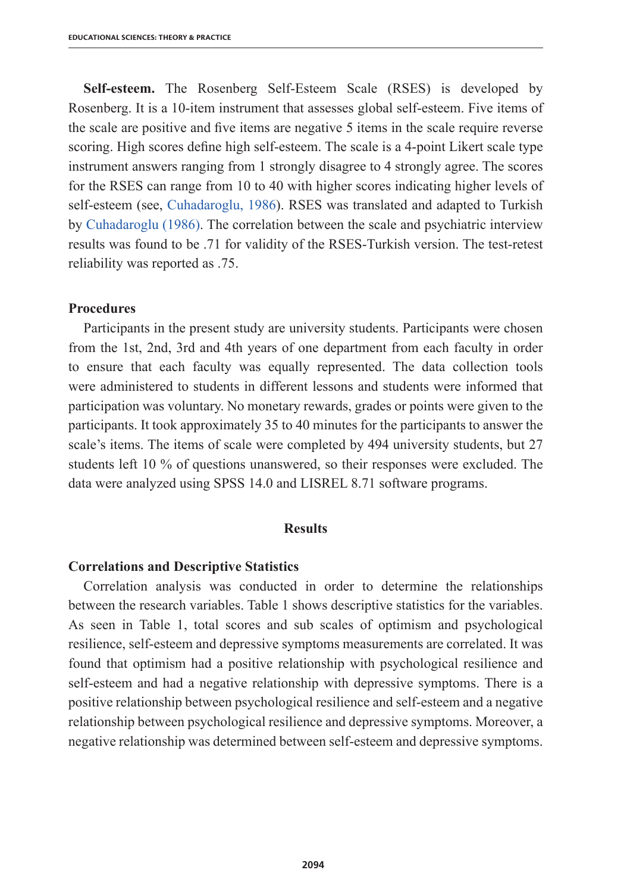**Self-esteem.** The Rosenberg Self-Esteem Scale (RSES) is developed by Rosenberg. It is a 10-item instrument that assesses global self-esteem. Five items of the scale are positive and five items are negative 5 items in the scale require reverse scoring. High scores define high self-esteem. The scale is a 4-point Likert scale type instrument answers ranging from 1 strongly disagree to 4 strongly agree. The scores for the RSES can range from 10 to 40 with higher scores indicating higher levels of self-esteem (see, Cuhadaroglu, 1986). RSES was translated and adapted to Turkish by Cuhadaroglu (1986). The correlation between the scale and psychiatric interview results was found to be .71 for validity of the RSES-Turkish version. The test-retest reliability was reported as .75.

#### **Procedures**

Participants in the present study are university students. Participants were chosen from the 1st, 2nd, 3rd and 4th years of one department from each faculty in order to ensure that each faculty was equally represented. The data collection tools were administered to students in different lessons and students were informed that participation was voluntary. No monetary rewards, grades or points were given to the participants. It took approximately 35 to 40 minutes for the participants to answer the scale's items. The items of scale were completed by 494 university students, but 27 students left 10 % of questions unanswered, so their responses were excluded. The data were analyzed using SPSS 14.0 and LISREL 8.71 software programs.

## **Results**

#### **Correlations and Descriptive Statistics**

Correlation analysis was conducted in order to determine the relationships between the research variables. Table 1 shows descriptive statistics for the variables. As seen in Table 1, total scores and sub scales of optimism and psychological resilience, self-esteem and depressive symptoms measurements are correlated. It was found that optimism had a positive relationship with psychological resilience and self-esteem and had a negative relationship with depressive symptoms. There is a positive relationship between psychological resilience and self-esteem and a negative relationship between psychological resilience and depressive symptoms. Moreover, a negative relationship was determined between self-esteem and depressive symptoms.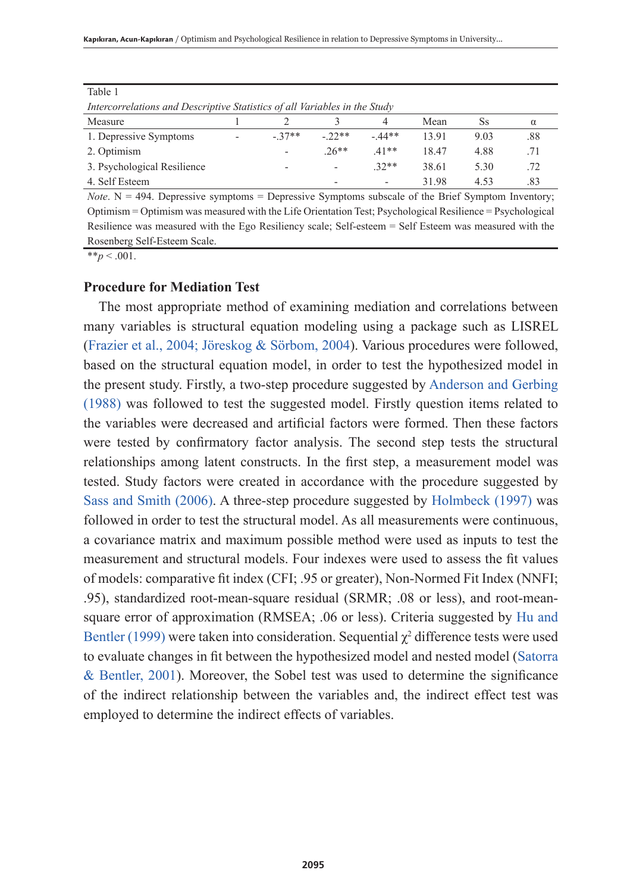| 100101                                                                     |                          |         |         |         |       |      |     |  |  |
|----------------------------------------------------------------------------|--------------------------|---------|---------|---------|-------|------|-----|--|--|
| Intercorrelations and Descriptive Statistics of all Variables in the Study |                          |         |         |         |       |      |     |  |  |
| Measure                                                                    |                          |         |         |         | Mean  | Ss   | α   |  |  |
| 1. Depressive Symptoms                                                     | $\overline{\phantom{a}}$ | $-37**$ | $-22**$ | $-44**$ | 1391  | 9.03 | .88 |  |  |
| 2. Optimism                                                                |                          | ۰       | $26**$  | $41**$  | 18.47 | 4.88 |     |  |  |
| 3. Psychological Resilience                                                |                          |         | ۰       | $32**$  | 38.61 | 5.30 | .72 |  |  |
| 4. Self Esteem                                                             |                          |         | -       | -       | 31.98 | 4.53 | .83 |  |  |

Table 1

*Note*.  $N = 494$ . Depressive symptoms = Depressive Symptoms subscale of the Brief Symptom Inventory; Optimism = Optimism was measured with the Life Orientation Test; Psychological Resilience = Psychological Resilience was measured with the Ego Resiliency scale; Self-esteem = Self Esteem was measured with the Rosenberg Self-Esteem Scale.

 $**_p < .001$ .

## **Procedure for Mediation Test**

The most appropriate method of examining mediation and correlations between many variables is structural equation modeling using a package such as LISREL (Frazier et al., 2004; Jöreskog & Sörbom, 2004). Various procedures were followed, based on the structural equation model, in order to test the hypothesized model in the present study. Firstly, a two-step procedure suggested by Anderson and Gerbing (1988) was followed to test the suggested model. Firstly question items related to the variables were decreased and artificial factors were formed. Then these factors were tested by confirmatory factor analysis. The second step tests the structural relationships among latent constructs. In the first step, a measurement model was tested. Study factors were created in accordance with the procedure suggested by Sass and Smith (2006). A three-step procedure suggested by Holmbeck (1997) was followed in order to test the structural model. As all measurements were continuous, a covariance matrix and maximum possible method were used as inputs to test the measurement and structural models. Four indexes were used to assess the fit values of models: comparative fit index (CFI; .95 or greater), Non-Normed Fit Index (NNFI; .95), standardized root-mean-square residual (SRMR; .08 or less), and root-meansquare error of approximation (RMSEA; .06 or less). Criteria suggested by Hu and Bentler (1999) were taken into consideration. Sequential  $\chi^2$  difference tests were used to evaluate changes in fit between the hypothesized model and nested model (Satorra & Bentler, 2001). Moreover, the Sobel test was used to determine the significance of the indirect relationship between the variables and, the indirect effect test was employed to determine the indirect effects of variables.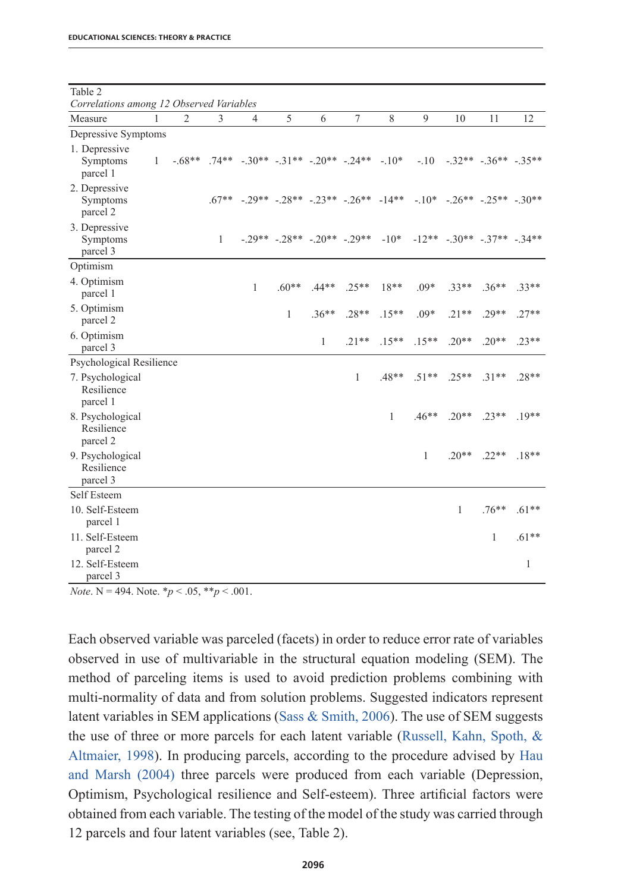| Table 2                                                |              |                |              |                                                      |         |              |                              |              |         |                                          |                       |         |
|--------------------------------------------------------|--------------|----------------|--------------|------------------------------------------------------|---------|--------------|------------------------------|--------------|---------|------------------------------------------|-----------------------|---------|
| Correlations among 12 Observed Variables               |              |                |              |                                                      |         |              |                              |              |         |                                          |                       |         |
| Measure                                                | 1            | $\overline{2}$ | 3            | 4                                                    | 5       | 6            | $\overline{7}$               | 8            | 9       | 10                                       | 11                    | 12      |
| Depressive Symptoms                                    |              |                |              |                                                      |         |              |                              |              |         |                                          |                       |         |
| 1. Depressive<br>Symptoms<br>parcel 1                  | $\mathbf{1}$ | $-68**$        |              | $.74***$ $-.30**$ $-.31**$ $-.20**$ $-.24**$ $-.10*$ |         |              |                              |              | $-10$   |                                          | $-32** - 36** - 35**$ |         |
| 2. Depressive<br>Symptoms<br>parcel 2                  |              |                |              | $.67***$ $-.29**$ $-.28**$ $-.23**$ $-.26**$ $-14**$ |         |              |                              |              |         | $-10^*$ $-26^{**}$ $-25^{**}$ $-30^{**}$ |                       |         |
| 3. Depressive<br>Symptoms<br>parcel 3                  |              |                | $\mathbf{1}$ |                                                      |         |              | $-29** - 28** - 20** - 29**$ | $-10*$       |         | $-12** - 30** - 37** - 34**$             |                       |         |
| Optimism                                               |              |                |              |                                                      |         |              |                              |              |         |                                          |                       |         |
| 4. Optimism<br>parcel 1                                |              |                |              | 1                                                    | $.60**$ | $.44**$      | $.25**$                      | $18**$       | $.09*$  | $33**$                                   | $36**$                | $33**$  |
| 5. Optimism<br>parcel 2                                |              |                |              |                                                      | 1       | $.36**$      | $.28**$                      | $.15***$     | $.09*$  | $.21**$                                  | .29**                 | $.27**$ |
| 6. Optimism<br>parcel 3                                |              |                |              |                                                      |         | $\mathbf{1}$ | $.21**$                      | $.15**$      | $.15**$ | $.20**$                                  | $.20**$               | $23**$  |
| Psychological Resilience                               |              |                |              |                                                      |         |              |                              |              |         |                                          |                       |         |
| 7. Psychological<br>Resilience<br>parcel 1             |              |                |              |                                                      |         |              | 1                            | $.48**$      | $.51**$ | $25**$                                   | $31**$                | $.28**$ |
| 8. Psychological<br>Resilience                         |              |                |              |                                                      |         |              |                              | $\mathbf{1}$ | $.46**$ | $.20**$                                  | $.23**$               | $.19**$ |
| parcel 2<br>9. Psychological<br>Resilience<br>parcel 3 |              |                |              |                                                      |         |              |                              |              | 1       | $.20**$                                  | $22**$                | $.18**$ |
| Self Esteem                                            |              |                |              |                                                      |         |              |                              |              |         |                                          |                       |         |
| 10. Self-Esteem<br>parcel 1                            |              |                |              |                                                      |         |              |                              |              |         | 1                                        | $.76***$              | $.61**$ |
| 11. Self-Esteem<br>parcel 2                            |              |                |              |                                                      |         |              |                              |              |         |                                          | 1                     | $.61**$ |
| 12. Self-Esteem<br>parcel 3                            |              |                |              |                                                      |         |              |                              |              |         |                                          |                       | 1       |

*Note*. N = 494. Note.  $* p < .05, ** p < .001$ .

Each observed variable was parceled (facets) in order to reduce error rate of variables observed in use of multivariable in the structural equation modeling (SEM). The method of parceling items is used to avoid prediction problems combining with multi-normality of data and from solution problems. Suggested indicators represent latent variables in SEM applications (Sass  $\&$  Smith, 2006). The use of SEM suggests the use of three or more parcels for each latent variable (Russell, Kahn, Spoth, & Altmaier, 1998). In producing parcels, according to the procedure advised by Hau and Marsh (2004) three parcels were produced from each variable (Depression, Optimism, Psychological resilience and Self-esteem). Three artificial factors were obtained from each variable. The testing of the model of the study was carried through 12 parcels and four latent variables (see, Table 2).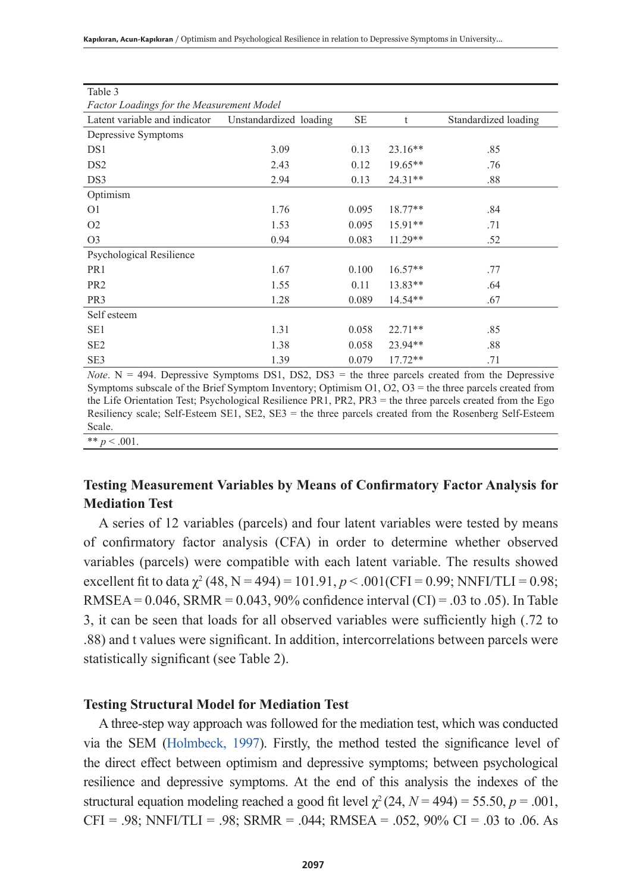**Kapıkıran, Acun-Kapıkıran** / Optimism and Psychological Resilience in relation to Depressive Symptoms in University...

| Table 3                                          |                        |           |           |                      |  |  |  |  |  |
|--------------------------------------------------|------------------------|-----------|-----------|----------------------|--|--|--|--|--|
| <b>Factor Loadings for the Measurement Model</b> |                        |           |           |                      |  |  |  |  |  |
| Latent variable and indicator                    | Unstandardized loading | <b>SE</b> | t         | Standardized loading |  |  |  |  |  |
| Depressive Symptoms                              |                        |           |           |                      |  |  |  |  |  |
| DS1                                              | 3.09                   | 0.13      | $23.16**$ | .85                  |  |  |  |  |  |
| DS <sub>2</sub>                                  | 2.43                   | 0.12      | $19.65**$ | .76                  |  |  |  |  |  |
| DS3                                              | 2.94                   | 0.13      | $24.31**$ | .88                  |  |  |  |  |  |
| Optimism                                         |                        |           |           |                      |  |  |  |  |  |
| O <sub>1</sub>                                   | 1.76                   | 0.095     | $18.77**$ | .84                  |  |  |  |  |  |
| O <sub>2</sub>                                   | 1.53                   | 0.095     | $15.91**$ | .71                  |  |  |  |  |  |
| O <sub>3</sub>                                   | 0.94                   | 0.083     | $11.29**$ | .52                  |  |  |  |  |  |
| Psychological Resilience                         |                        |           |           |                      |  |  |  |  |  |
| PR1                                              | 1.67                   | 0.100     | $16.57**$ | .77                  |  |  |  |  |  |
| PR <sub>2</sub>                                  | 1.55                   | 0.11      | $13.83**$ | .64                  |  |  |  |  |  |
| PR <sub>3</sub>                                  | 1.28                   | 0.089     | $14.54**$ | .67                  |  |  |  |  |  |
| Self esteem                                      |                        |           |           |                      |  |  |  |  |  |
| SE <sub>1</sub>                                  | 1.31                   | 0.058     | $22.71**$ | .85                  |  |  |  |  |  |
| SE <sub>2</sub>                                  | 1.38                   | 0.058     | 23.94**   | .88                  |  |  |  |  |  |
| SE3                                              | 1.39                   | 0.079     | $17.72**$ | .71                  |  |  |  |  |  |

*Note*.  $N = 494$ . Depressive Symptoms DS1, DS2, DS3 = the three parcels created from the Depressive Symptoms subscale of the Brief Symptom Inventory; Optimism O1, O2, O3 = the three parcels created from the Life Orientation Test; Psychological Resilience PR1, PR2, PR3 = the three parcels created from the Ego Resiliency scale; Self-Esteem SE1, SE2, SE3 = the three parcels created from the Rosenberg Self-Esteem Scale. \*\*  $p < .001$ 

# **Testing Measurement Variables by Means of Confirmatory Factor Analysis for Mediation Test**

A series of 12 variables (parcels) and four latent variables were tested by means of confirmatory factor analysis (CFA) in order to determine whether observed variables (parcels) were compatible with each latent variable. The results showed excellent fit to data  $\chi^2$  (48, N = 494) = 101.91, p < .001(CFI = 0.99; NNFI/TLI = 0.98; RMSEA =  $0.046$ , SRMR =  $0.043$ , 90% confidence interval (CI) =  $.03$  to  $.05$ ). In Table 3, it can be seen that loads for all observed variables were sufficiently high (.72 to .88) and t values were significant. In addition, intercorrelations between parcels were statistically significant (see Table 2).

### **Testing Structural Model for Mediation Test**

A three-step way approach was followed for the mediation test, which was conducted via the SEM (Holmbeck, 1997). Firstly, the method tested the significance level of the direct effect between optimism and depressive symptoms; between psychological resilience and depressive symptoms. At the end of this analysis the indexes of the structural equation modeling reached a good fit level  $\chi^2$  (24,  $N = 494$ ) = 55.50,  $p = .001$ , CFI = .98; NNFI/TLI = .98; SRMR = .044; RMSEA = .052, 90% CI = .03 to .06. As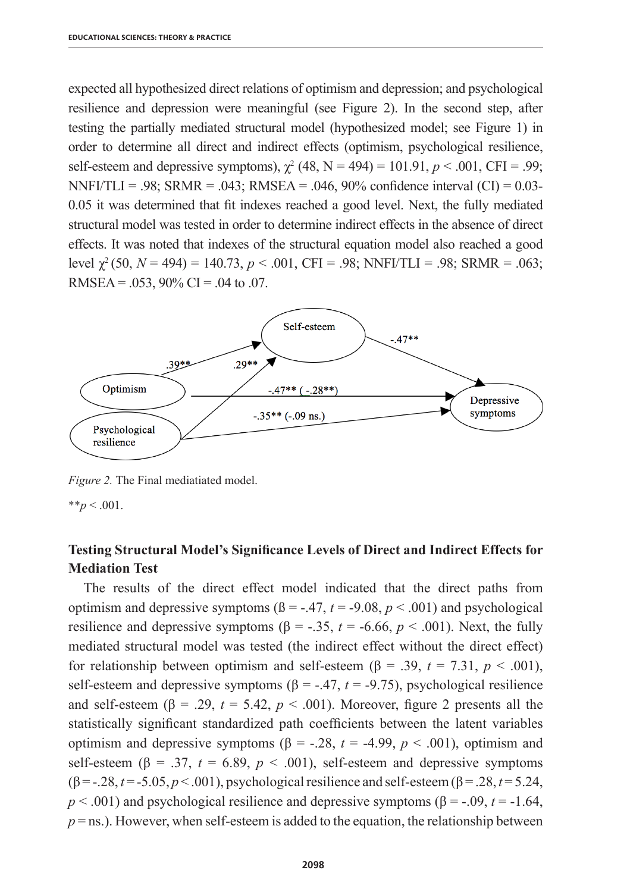expected all hypothesized direct relations of optimism and depression; and psychological resilience and depression were meaningful (see Figure 2). In the second step, after testing the partially mediated structural model (hypothesized model; see Figure 1) in order to determine all direct and indirect effects (optimism, psychological resilience, self-esteem and depressive symptoms),  $\chi^2$  (48, N = 494) = 101.91,  $p < .001$ , CFI = .99; NNFI/TLI = .98; SRMR = .043; RMSEA = .046, 90% confidence interval  $(CI) = 0.03$ -0.05 it was determined that fit indexes reached a good level. Next, the fully mediated structural model was tested in order to determine indirect effects in the absence of direct effects. It was noted that indexes of the structural equation model also reached a good level  $\gamma^2$  (50,  $N = 494$ ) = 140.73,  $p < .001$ , CFI = .98; NNFI/TLI = .98; SRMR = .063; RMSEA =  $.053$ , 90% CI =  $.04$  to  $.07$ .



*Figure 2.* The Final mediatiated model.

 $*$ *\*p* < .001.

# **Testing Structural Model's Significance Levels of Direct and Indirect Effects for Mediation Test**

The results of the direct effect model indicated that the direct paths from optimism and depressive symptoms  $(β = -.47, t = -9.08, p < .001)$  and psychological resilience and depressive symptoms ( $\beta$  = -.35,  $t$  = -6.66,  $p$  < .001). Next, the fully mediated structural model was tested (the indirect effect without the direct effect) for relationship between optimism and self-esteem (β = .39, *t* = 7.31, *p* < .001), self-esteem and depressive symptoms  $(\beta = -0.47, t = -0.75)$ , psychological resilience and self-esteem ( $\beta$  = .29,  $t = 5.42$ ,  $p < .001$ ). Moreover, figure 2 presents all the statistically significant standardized path coefficients between the latent variables optimism and depressive symptoms (β = -.28,  $t = -4.99$ ,  $p < .001$ ), optimism and self-esteem ( $\beta$  = .37,  $t$  = 6.89,  $p$  < .001), self-esteem and depressive symptoms (β = -.28, *t* = -5.05, *p* < .001), psychological resilience and self-esteem (β = .28, *t* = 5.24,  $p < .001$ ) and psychological resilience and depressive symptoms ( $\beta$  = -.09, *t* = -1.64,  $p =$ ns.). However, when self-esteem is added to the equation, the relationship between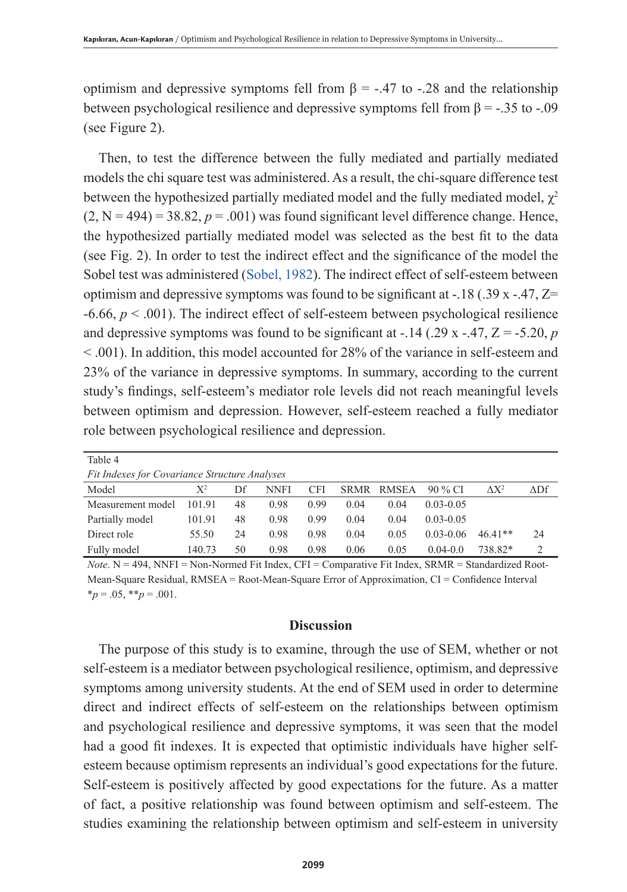optimism and depressive symptoms fell from  $\beta$  = -.47 to -.28 and the relationship between psychological resilience and depressive symptoms fell from  $\beta$  = -.35 to -.09 (see Figure 2).

Then, to test the difference between the fully mediated and partially mediated models the chi square test was administered. As a result, the chi-square difference test between the hypothesized partially mediated model and the fully mediated model,  $\gamma^2$  $(2, N = 494) = 38.82$ ,  $p = .001$ ) was found significant level difference change. Hence, the hypothesized partially mediated model was selected as the best fit to the data (see Fig. 2). In order to test the indirect effect and the significance of the model the Sobel test was administered (Sobel, 1982). The indirect effect of self-esteem between optimism and depressive symptoms was found to be significant at  $-18$  (.39 x  $-47$ ,  $Z=$  $-6.66$ ,  $p < .001$ ). The indirect effect of self-esteem between psychological resilience and depressive symptoms was found to be significant at  $-14$  (.29 x  $-47$ ,  $Z = -5.20$ , *p* < .001). In addition, this model accounted for 28% of the variance in self-esteem and 23% of the variance in depressive symptoms. In summary, according to the current study's findings, self-esteem's mediator role levels did not reach meaningful levels between optimism and depression. However, self-esteem reached a fully mediator role between psychological resilience and depression.

| Table 4                                              |                |    |      |      |             |              |               |               |                      |
|------------------------------------------------------|----------------|----|------|------|-------------|--------------|---------------|---------------|----------------------|
| <b>Fit Indexes for Covariance Structure Analyses</b> |                |    |      |      |             |              |               |               |                      |
| Model                                                | $\mathrm{X}^2$ | Df | NNFI | CFI  | <b>SRMR</b> | <b>RMSEA</b> | 90 % CI       | $\Lambda X^2$ | $\Delta \mathrm{Df}$ |
| Measurement model                                    | 101.91         | 48 | 0.98 | 0.99 | 0.04        | 0.04         | $0.03 - 0.05$ |               |                      |
| Partially model                                      | 101.91         | 48 | 0.98 | 0.99 | 0.04        | 0.04         | $0.03 - 0.05$ |               |                      |
| Direct role                                          | 55.50          | 24 | 0.98 | 0.98 | 0.04        | 0.05         | $0.03 - 0.06$ | $46.41**$     | 24                   |
| Fully model                                          | 140.73         | 50 | 0.98 | 0.98 | 0.06        | 0.05         | $0.04 - 0.0$  | 738.82*       |                      |

*Note*. N = 494, NNFI = Non-Normed Fit Index, CFI = Comparative Fit Index, SRMR = Standardized Root-Mean-Square Residual, RMSEA = Root-Mean-Square Error of Approximation, CI = Confidence Interval  $*_{p} = .05, **_{p} = .001.$ 

### **Discussion**

The purpose of this study is to examine, through the use of SEM, whether or not self-esteem is a mediator between psychological resilience, optimism, and depressive symptoms among university students. At the end of SEM used in order to determine direct and indirect effects of self-esteem on the relationships between optimism and psychological resilience and depressive symptoms, it was seen that the model had a good fit indexes. It is expected that optimistic individuals have higher selfesteem because optimism represents an individual's good expectations for the future. Self-esteem is positively affected by good expectations for the future. As a matter of fact, a positive relationship was found between optimism and self-esteem. The studies examining the relationship between optimism and self-esteem in university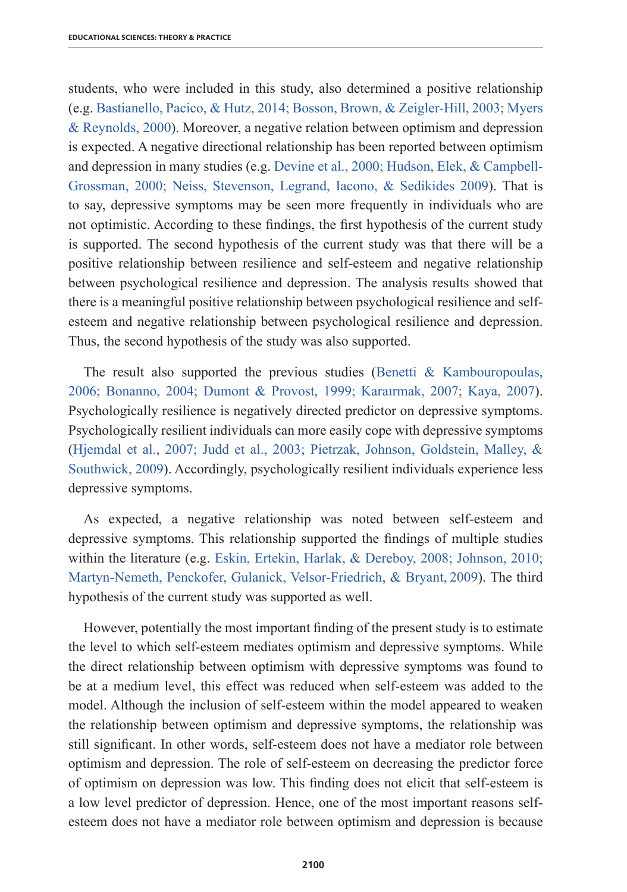students, who were included in this study, also determined a positive relationship (e.g. Bastianello, Pacico, & Hutz, 2014; Bosson, Brown, & Zeigler-Hill, 2003; Myers & Reynolds, 2000). Moreover, a negative relation between optimism and depression is expected. A negative directional relationship has been reported between optimism and depression in many studies (e.g. Devine et al., 2000; Hudson, Elek, & Campbell-Grossman, 2000; Neiss, Stevenson, Legrand, Iacono, & Sedikides 2009). That is to say, depressive symptoms may be seen more frequently in individuals who are not optimistic. According to these findings, the first hypothesis of the current study is supported. The second hypothesis of the current study was that there will be a positive relationship between resilience and self-esteem and negative relationship between psychological resilience and depression. The analysis results showed that there is a meaningful positive relationship between psychological resilience and selfesteem and negative relationship between psychological resilience and depression. Thus, the second hypothesis of the study was also supported.

The result also supported the previous studies (Benetti  $&$  Kambouropoulas, 2006; Bonanno, 2004; Dumont & Provost, 1999; Karaırmak, 2007; Kaya, 2007). Psychologically resilience is negatively directed predictor on depressive symptoms. Psychologically resilient individuals can more easily cope with depressive symptoms (Hjemdal et al., 2007; Judd et al., 2003; Pietrzak, Johnson, Goldstein, Malley, & Southwick, 2009). Accordingly, psychologically resilient individuals experience less depressive symptoms.

As expected, a negative relationship was noted between self-esteem and depressive symptoms. This relationship supported the findings of multiple studies within the literature (e.g. Eskin, Ertekin, Harlak, & Dereboy, 2008; Johnson, 2010; Martyn-Nemeth, Penckofer, Gulanick, Velsor-Friedrich, & Bryant, 2009). The third hypothesis of the current study was supported as well.

However, potentially the most important finding of the present study is to estimate the level to which self-esteem mediates optimism and depressive symptoms. While the direct relationship between optimism with depressive symptoms was found to be at a medium level, this effect was reduced when self-esteem was added to the model. Although the inclusion of self-esteem within the model appeared to weaken the relationship between optimism and depressive symptoms, the relationship was still significant. In other words, self-esteem does not have a mediator role between optimism and depression. The role of self-esteem on decreasing the predictor force of optimism on depression was low. This finding does not elicit that self-esteem is a low level predictor of depression. Hence, one of the most important reasons selfesteem does not have a mediator role between optimism and depression is because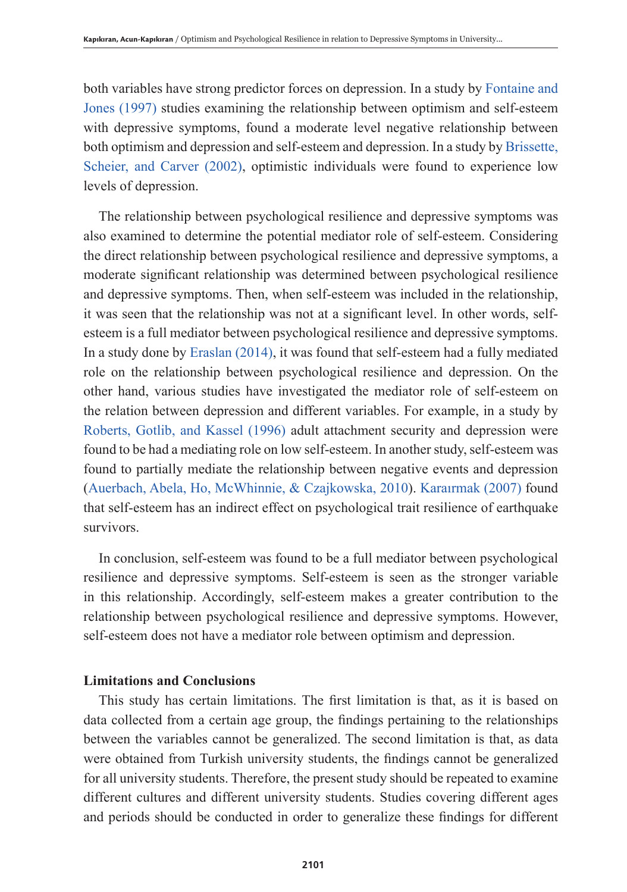both variables have strong predictor forces on depression. In a study by Fontaine and Jones (1997) studies examining the relationship between optimism and self-esteem with depressive symptoms, found a moderate level negative relationship between both optimism and depression and self-esteem and depression. In a study by Brissette, Scheier, and Carver (2002), optimistic individuals were found to experience low levels of depression.

The relationship between psychological resilience and depressive symptoms was also examined to determine the potential mediator role of self-esteem. Considering the direct relationship between psychological resilience and depressive symptoms, a moderate significant relationship was determined between psychological resilience and depressive symptoms. Then, when self-esteem was included in the relationship, it was seen that the relationship was not at a significant level. In other words, selfesteem is a full mediator between psychological resilience and depressive symptoms. In a study done by Eraslan (2014), it was found that self-esteem had a fully mediated role on the relationship between psychological resilience and depression. On the other hand, various studies have investigated the mediator role of self-esteem on the relation between depression and different variables. For example, in a study by Roberts, Gotlib, and Kassel (1996) adult attachment security and depression were found to be had a mediating role on low self-esteem. In another study, self-esteem was found to partially mediate the relationship between negative events and depression (Auerbach, Abela, Ho, McWhinnie, & Czajkowska, 2010). Karaırmak (2007) found that self-esteem has an indirect effect on psychological trait resilience of earthquake survivors.

In conclusion, self-esteem was found to be a full mediator between psychological resilience and depressive symptoms. Self-esteem is seen as the stronger variable in this relationship. Accordingly, self-esteem makes a greater contribution to the relationship between psychological resilience and depressive symptoms. However, self-esteem does not have a mediator role between optimism and depression.

## **Limitations and Conclusions**

This study has certain limitations. The first limitation is that, as it is based on data collected from a certain age group, the findings pertaining to the relationships between the variables cannot be generalized. The second limitation is that, as data were obtained from Turkish university students, the findings cannot be generalized for all university students. Therefore, the present study should be repeated to examine different cultures and different university students. Studies covering different ages and periods should be conducted in order to generalize these findings for different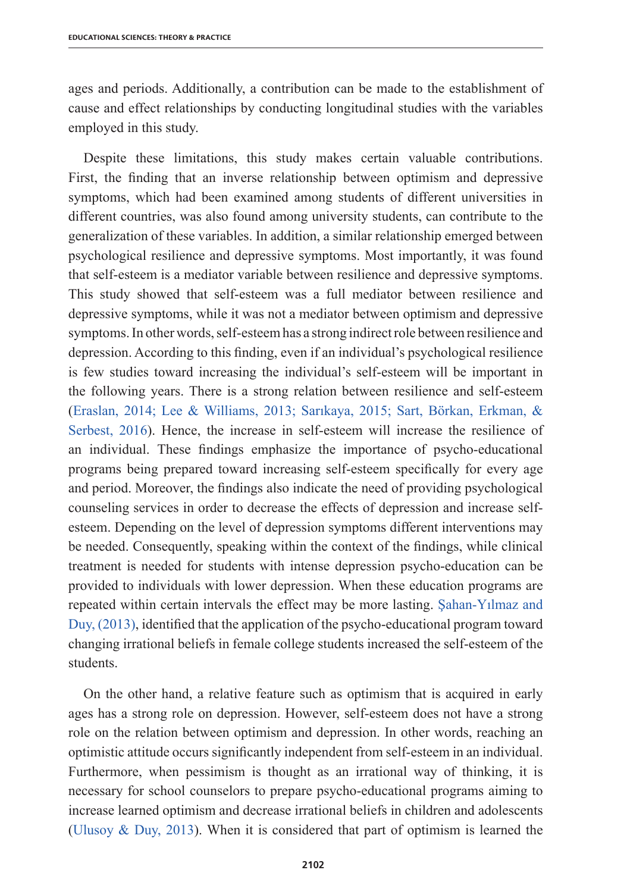ages and periods. Additionally, a contribution can be made to the establishment of cause and effect relationships by conducting longitudinal studies with the variables employed in this study.

Despite these limitations, this study makes certain valuable contributions. First, the finding that an inverse relationship between optimism and depressive symptoms, which had been examined among students of different universities in different countries, was also found among university students, can contribute to the generalization of these variables. In addition, a similar relationship emerged between psychological resilience and depressive symptoms. Most importantly, it was found that self-esteem is a mediator variable between resilience and depressive symptoms. This study showed that self-esteem was a full mediator between resilience and depressive symptoms, while it was not a mediator between optimism and depressive symptoms. In other words, self-esteem has a strong indirect role between resilience and depression. According to this finding, even if an individual's psychological resilience is few studies toward increasing the individual's self-esteem will be important in the following years. There is a strong relation between resilience and self-esteem (Eraslan, 2014; Lee & Williams, 2013; Sarıkaya, 2015; Sart, Börkan, Erkman, & Serbest, 2016). Hence, the increase in self-esteem will increase the resilience of an individual. These findings emphasize the importance of psycho-educational programs being prepared toward increasing self-esteem specifically for every age and period. Moreover, the findings also indicate the need of providing psychological counseling services in order to decrease the effects of depression and increase selfesteem. Depending on the level of depression symptoms different interventions may be needed. Consequently, speaking within the context of the findings, while clinical treatment is needed for students with intense depression psycho-education can be provided to individuals with lower depression. When these education programs are repeated within certain intervals the effect may be more lasting. Şahan-Yılmaz and Duy, (2013), identified that the application of the psycho-educational program toward changing irrational beliefs in female college students increased the self-esteem of the students.

On the other hand, a relative feature such as optimism that is acquired in early ages has a strong role on depression. However, self-esteem does not have a strong role on the relation between optimism and depression. In other words, reaching an optimistic attitude occurs significantly independent from self-esteem in an individual. Furthermore, when pessimism is thought as an irrational way of thinking, it is necessary for school counselors to prepare psycho-educational programs aiming to increase learned optimism and decrease irrational beliefs in children and adolescents (Ulusoy & Duy, 2013). When it is considered that part of optimism is learned the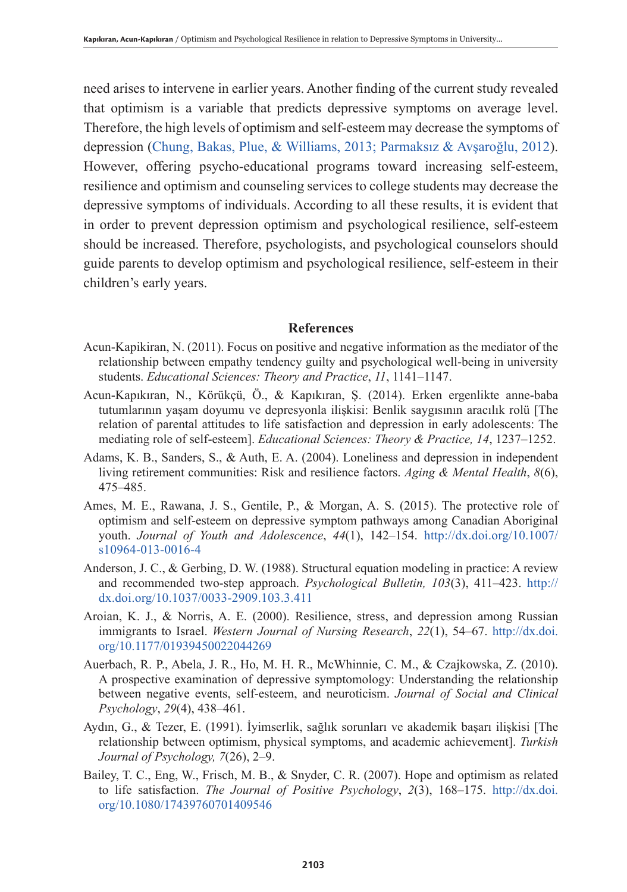need arises to intervene in earlier years. Another finding of the current study revealed that optimism is a variable that predicts depressive symptoms on average level. Therefore, the high levels of optimism and self-esteem may decrease the symptoms of depression (Chung, Bakas, Plue, & Williams, 2013; Parmaksız & Avşaroğlu, 2012). However, offering psycho-educational programs toward increasing self-esteem, resilience and optimism and counseling services to college students may decrease the depressive symptoms of individuals. According to all these results, it is evident that in order to prevent depression optimism and psychological resilience, self-esteem should be increased. Therefore, psychologists, and psychological counselors should guide parents to develop optimism and psychological resilience, self-esteem in their children's early years.

#### **References**

- Acun-Kapikiran, N. (2011). Focus on positive and negative information as the mediator of the relationship between empathy tendency guilty and psychological well-being in university students. *Educational Sciences: Theory and Practice*, *11*, 1141–1147.
- Acun-Kapıkıran, N., Körükçü, Ö., & Kapıkıran, Ş. (2014). Erken ergenlikte anne-baba tutumlarının yaşam doyumu ve depresyonla ilişkisi: Benlik saygısının aracılık rolü [The relation of parental attitudes to life satisfaction and depression in early adolescents: The mediating role of self-esteem]. *Educational Sciences: Theory & Practice, 14*, 1237–1252.
- Adams, K. B., Sanders, S., & Auth, E. A. (2004). Loneliness and depression in independent living retirement communities: Risk and resilience factors. *Aging & Mental Health*, *8*(6), 475–485.
- Ames, M. E., Rawana, J. S., Gentile, P., & Morgan, A. S. (2015). The protective role of optimism and self-esteem on depressive symptom pathways among Canadian Aboriginal youth. *Journal of Youth and Adolescence*, *44*(1), 142–154. http://dx.doi.org/10.1007/ s10964-013-0016-4
- Anderson, J. C., & Gerbing, D. W. (1988). Structural equation modeling in practice: A review and recommended two-step approach. *Psychological Bulletin, 103*(3), 411–423. http:// dx.doi.org/10.1037/0033-2909.103.3.411
- Aroian, K. J., & Norris, A. E. (2000). Resilience, stress, and depression among Russian immigrants to Israel. *Western Journal of Nursing Research*, *22*(1), 54–67. http://dx.doi. org/10.1177/01939450022044269
- Auerbach, R. P., Abela, J. R., Ho, M. H. R., McWhinnie, C. M., & Czajkowska, Z. (2010). A prospective examination of depressive symptomology: Understanding the relationship between negative events, self-esteem, and neuroticism. *Journal of Social and Clinical Psychology*, *29*(4), 438–461.
- Aydın, G., & Tezer, E. (1991). İyimserlik, sağlık sorunları ve akademik başarı ilişkisi [The relationship between optimism, physical symptoms, and academic achievement]. *Turkish Journal of Psychology, 7*(26), 2–9.
- Bailey, T. C., Eng, W., Frisch, M. B., & Snyder, C. R. (2007). Hope and optimism as related to life satisfaction. *The Journal of Positive Psychology*, *2*(3), 168–175. http://dx.doi. org/10.1080/17439760701409546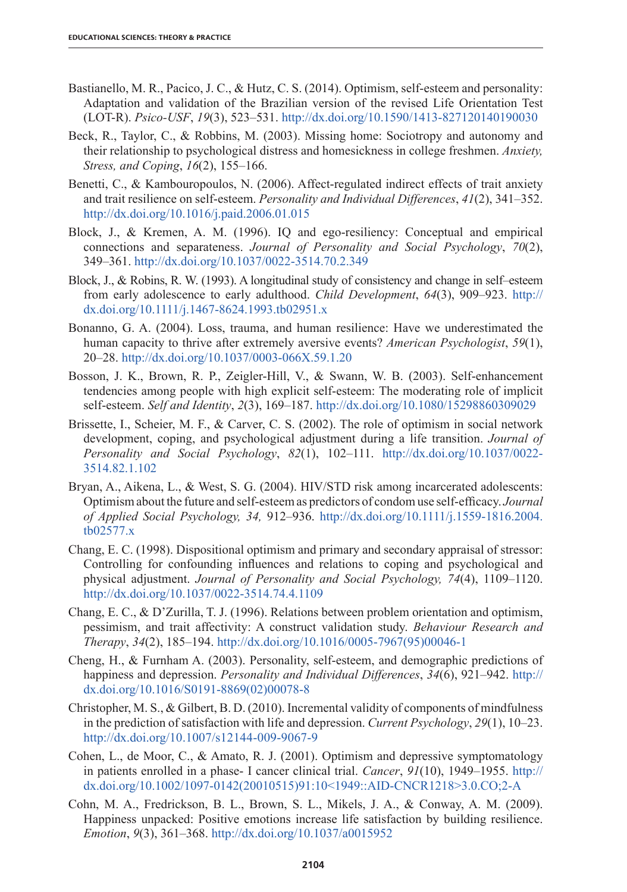- Bastianello, M. R., Pacico, J. C., & Hutz, C. S. (2014). Optimism, self-esteem and personality: Adaptation and validation of the Brazilian version of the revised Life Orientation Test (LOT-R). *Psico-USF*, *19*(3), 523–531. http://dx.doi.org/10.1590/1413-827120140190030
- Beck, R., Taylor, C., & Robbins, M. (2003). Missing home: Sociotropy and autonomy and their relationship to psychological distress and homesickness in college freshmen. *Anxiety, Stress, and Coping*, *16*(2), 155–166.
- Benetti, C., & Kambouropoulos, N. (2006). Affect-regulated indirect effects of trait anxiety and trait resilience on self-esteem. *Personality and Individual Differences*, *41*(2), 341–352. http://dx.doi.org/10.1016/j.paid.2006.01.015
- Block, J., & Kremen, A. M. (1996). IQ and ego-resiliency: Conceptual and empirical connections and separateness. *Journal of Personality and Social Psychology*, *70*(2), 349–361. http://dx.doi.org/10.1037/0022-3514.70.2.349
- Block, J., & Robins, R. W. (1993). A longitudinal study of consistency and change in self–esteem from early adolescence to early adulthood. *Child Development*, *64*(3), 909–923. http:// dx.doi.org/10.1111/j.1467-8624.1993.tb02951.x
- Bonanno, G. A. (2004). Loss, trauma, and human resilience: Have we underestimated the human capacity to thrive after extremely aversive events? *American Psychologist*, *59*(1), 20–28. http://dx.doi.org/10.1037/0003-066X.59.1.20
- Bosson, J. K., Brown, R. P., Zeigler-Hill, V., & Swann, W. B. (2003). Self-enhancement tendencies among people with high explicit self-esteem: The moderating role of implicit self-esteem. *Self and Identity*, *2*(3), 169–187. http://dx.doi.org/10.1080/15298860309029
- Brissette, I., Scheier, M. F., & Carver, C. S. (2002). The role of optimism in social network development, coping, and psychological adjustment during a life transition. *Journal of Personality and Social Psychology*, *82*(1), 102–111. http://dx.doi.org/10.1037/0022- 3514.82.1.102
- Bryan, A., Aikena, L., & West, S. G. (2004). HIV/STD risk among incarcerated adolescents: Optimism about the future and self-esteem as predictors of condom use self-efficacy. *Journal of Applied Social Psychology, 34,* 912–936. http://dx.doi.org/10.1111/j.1559-1816.2004. tb02577.x
- Chang, E. C. (1998). Dispositional optimism and primary and secondary appraisal of stressor: Controlling for confounding influences and relations to coping and psychological and physical adjustment. *Journal of Personality and Social Psychology, 74*(4), 1109–1120. http://dx.doi.org/10.1037/0022-3514.74.4.1109
- Chang, E. C., & D'Zurilla, T. J. (1996). Relations between problem orientation and optimism, pessimism, and trait affectivity: A construct validation study. *Behaviour Research and Therapy*, *34*(2), 185–194. http://dx.doi.org/10.1016/0005-7967(95)00046-1
- Cheng, H., & Furnham A. (2003). Personality, self-esteem, and demographic predictions of happiness and depression. *Personality and Individual Differences*, *34*(6), 921–942. http:// dx.doi.org/10.1016/S0191-8869(02)00078-8
- Christopher, M. S., & Gilbert, B. D. (2010). Incremental validity of components of mindfulness in the prediction of satisfaction with life and depression. *Current Psychology*, *29*(1), 10–23. http://dx.doi.org/10.1007/s12144-009-9067-9
- Cohen, L., de Moor, C., & Amato, R. J. (2001). Optimism and depressive symptomatology in patients enrolled in a phase- I cancer clinical trial. *Cancer*, *91*(10), 1949–1955. http:// dx.doi.org/10.1002/1097-0142(20010515)91:10<1949::AID-CNCR1218>3.0.CO;2-A
- Cohn, M. A., Fredrickson, B. L., Brown, S. L., Mikels, J. A., & Conway, A. M. (2009). Happiness unpacked: Positive emotions increase life satisfaction by building resilience. *Emotion*, *9*(3), 361–368. http://dx.doi.org/10.1037/a0015952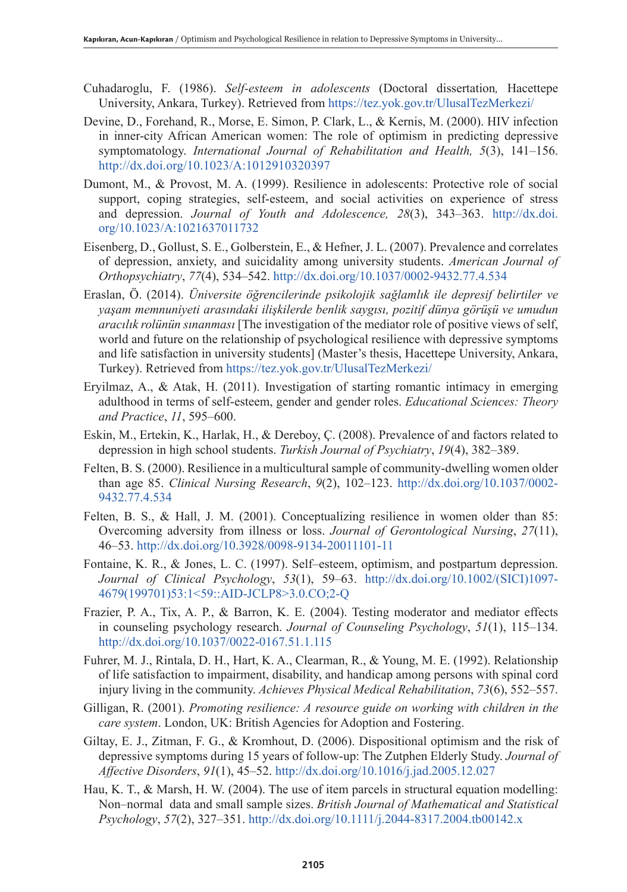- Cuhadaroglu, F. (1986). *Self-esteem in adolescents* (Doctoral dissertation*,* Hacettepe University, Ankara, Turkey). Retrieved from https://tez.yok.gov.tr/UlusalTezMerkezi/
- Devine, D., Forehand, R., Morse, E. Simon, P. Clark, L., & Kernis, M. (2000). HIV infection in inner-city African American women: The role of optimism in predicting depressive symptomatology. *International Journal of Rehabilitation and Health, 5*(3), 141–156. http://dx.doi.org/10.1023/A:1012910320397
- Dumont, M., & Provost, M. A. (1999). Resilience in adolescents: Protective role of social support, coping strategies, self-esteem, and social activities on experience of stress and depression. *Journal of Youth and Adolescence, 28*(3), 343–363. http://dx.doi. org/10.1023/A:1021637011732
- Eisenberg, D., Gollust, S. E., Golberstein, E., & Hefner, J. L. (2007). Prevalence and correlates of depression, anxiety, and suicidality among university students. *American Journal of Orthopsychiatry*, *77*(4), 534–542. http://dx.doi.org/10.1037/0002-9432.77.4.534
- Eraslan, Ö. (2014). *Üniversite öğrencilerinde psikolojik sağlamlık ile depresif belirtiler ve yaşam memnuniyeti arasındaki ilişkilerde benlik saygısı, pozitif dünya görüşü ve umudun aracılık rolünün sınanması* [The investigation of the mediator role of positive views of self, world and future on the relationship of psychological resilience with depressive symptoms and life satisfaction in university students] (Master's thesis, Hacettepe University, Ankara, Turkey). Retrieved from https://tez.yok.gov.tr/UlusalTezMerkezi/
- Eryilmaz, A., & Atak, H. (2011). Investigation of starting romantic intimacy in emerging adulthood in terms of self-esteem, gender and gender roles. *Educational Sciences: Theory and Practice*, *11*, 595–600.
- Eskin, M., Ertekin, K., Harlak, H., & Dereboy, Ç. (2008). Prevalence of and factors related to depression in high school students. *Turkish Journal of Psychiatry*, *19*(4), 382–389.
- Felten, B. S. (2000). Resilience in a multicultural sample of community-dwelling women older than age 85. *Clinical Nursing Research*, *9*(2), 102–123. http://dx.doi.org/10.1037/0002- 9432.77.4.534
- Felten, B. S., & Hall, J. M. (2001). Conceptualizing resilience in women older than 85: Overcoming adversity from illness or loss. *Journal of Gerontological Nursing*, *27*(11), 46–53. http://dx.doi.org/10.3928/0098-9134-20011101-11
- Fontaine, K. R., & Jones, L. C. (1997). Self–esteem, optimism, and postpartum depression. *Journal of Clinical Psychology*, *53*(1), 59–63. http://dx.doi.org/10.1002/(SICI)1097- 4679(199701)53:1<59::AID-JCLP8>3.0.CO;2-Q
- Frazier, P. A., Tix, A. P., & Barron, K. E. (2004). Testing moderator and mediator effects in counseling psychology research. *Journal of Counseling Psychology*, *51*(1), 115–134. http://dx.doi.org/10.1037/0022-0167.51.1.115
- Fuhrer, M. J., Rintala, D. H., Hart, K. A., Clearman, R., & Young, M. E. (1992). Relationship of life satisfaction to impairment, disability, and handicap among persons with spinal cord injury living in the community. *Achieves Physical Medical Rehabilitation*, *73*(6), 552–557.
- Gilligan, R. (2001). *Promoting resilience: A resource guide on working with children in the care system*. London, UK: British Agencies for Adoption and Fostering.
- Giltay, E. J., Zitman, F. G., & Kromhout, D. (2006). Dispositional optimism and the risk of depressive symptoms during 15 years of follow-up: The Zutphen Elderly Study. *Journal of Affective Disorders*, *91*(1), 45–52. http://dx.doi.org/10.1016/j.jad.2005.12.027
- Hau, K. T., & Marsh, H. W. (2004). The use of item parcels in structural equation modelling: Non–normal data and small sample sizes. *British Journal of Mathematical and Statistical Psychology*, *57*(2), 327–351. http://dx.doi.org/10.1111/j.2044-8317.2004.tb00142.x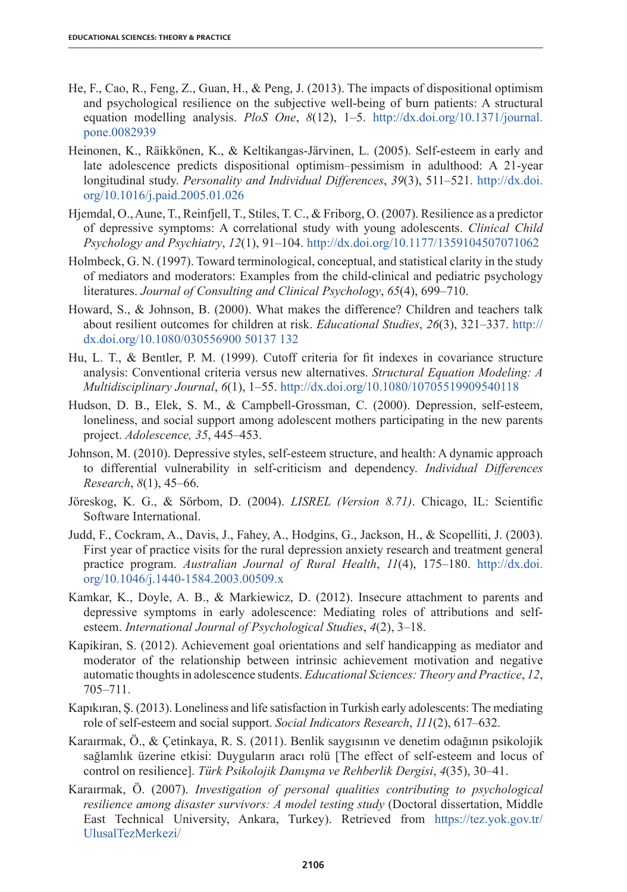- He, F., Cao, R., Feng, Z., Guan, H., & Peng, J. (2013). The impacts of dispositional optimism and psychological resilience on the subjective well-being of burn patients: A structural equation modelling analysis. *PloS One*, *8*(12), 1–5. http://dx.doi.org/10.1371/journal. pone.0082939
- Heinonen, K., Räikkönen, K., & Keltikangas-Järvinen, L. (2005). Self-esteem in early and late adolescence predicts dispositional optimism–pessimism in adulthood: A 21-year longitudinal study. *Personality and Individual Differences*, *39*(3), 511–521. http://dx.doi. org/10.1016/j.paid.2005.01.026
- Hjemdal, O., Aune, T., Reinfjell, T., Stiles, T. C., & Friborg, O. (2007). Resilience as a predictor of depressive symptoms: A correlational study with young adolescents. *Clinical Child Psychology and Psychiatry*, *12*(1), 91–104. http://dx.doi.org/10.1177/1359104507071062
- Holmbeck, G. N. (1997). Toward terminological, conceptual, and statistical clarity in the study of mediators and moderators: Examples from the child-clinical and pediatric psychology literatures. *Journal of Consulting and Clinical Psychology*, *65*(4), 699–710.
- Howard, S., & Johnson, B. (2000). What makes the difference? Children and teachers talk about resilient outcomes for children at risk. *Educational Studies*, *26*(3), 321–337. http:// dx.doi.org/10.1080/030556900 50137 132
- Hu, L. T., & Bentler, P. M. (1999). Cutoff criteria for fit indexes in covariance structure analysis: Conventional criteria versus new alternatives. *Structural Equation Modeling: A Multidisciplinary Journal*, *6*(1), 1–55. http://dx.doi.org/10.1080/10705519909540118
- Hudson, D. B., Elek, S. M., & Campbell-Grossman, C. (2000). Depression, self-esteem, loneliness, and social support among adolescent mothers participating in the new parents project. *Adolescence, 35*, 445–453.
- Johnson, M. (2010). Depressive styles, self-esteem structure, and health: A dynamic approach to differential vulnerability in self-criticism and dependency. *Individual Differences Research*, *8*(1), 45–66.
- Jöreskog, K. G., & Sörbom, D. (2004). *LISREL (Version 8.71)*. Chicago, IL: Scientific Software International.
- Judd, F., Cockram, A., Davis, J., Fahey, A., Hodgins, G., Jackson, H., & Scopelliti, J. (2003). First year of practice visits for the rural depression anxiety research and treatment general practice program. *Australian Journal of Rural Health*, *11*(4), 175–180. http://dx.doi. org/10.1046/j.1440-1584.2003.00509.x
- Kamkar, K., Doyle, A. B., & Markiewicz, D. (2012). Insecure attachment to parents and depressive symptoms in early adolescence: Mediating roles of attributions and selfesteem. *International Journal of Psychological Studies*, *4*(2), 3–18.
- Kapikiran, S. (2012). Achievement goal orientations and self handicapping as mediator and moderator of the relationship between intrinsic achievement motivation and negative automatic thoughts in adolescence students. *Educational Sciences: Theory and Practice*, *12*, 705–711.
- Kapıkıran, Ş. (2013). Loneliness and life satisfaction in Turkish early adolescents: The mediating role of self-esteem and social support. *Social Indicators Research*, *111*(2), 617–632.
- Karaırmak, Ö., & Çetinkaya, R. S. (2011). Benlik saygısının ve denetim odağının psikolojik sağlamlık üzerine etkisi: Duyguların aracı rolü [The effect of self-esteem and locus of control on resilience]. *Türk Psikolojik Danışma ve Rehberlik Dergisi*, *4*(35), 30–41.
- Karaırmak, Ö. (2007). *Investigation of personal qualities contributing to psychological resilience among disaster survivors: A model testing study* (Doctoral dissertation, Middle East Technical University, Ankara, Turkey). Retrieved from https://tez.yok.gov.tr/ UlusalTezMerkezi/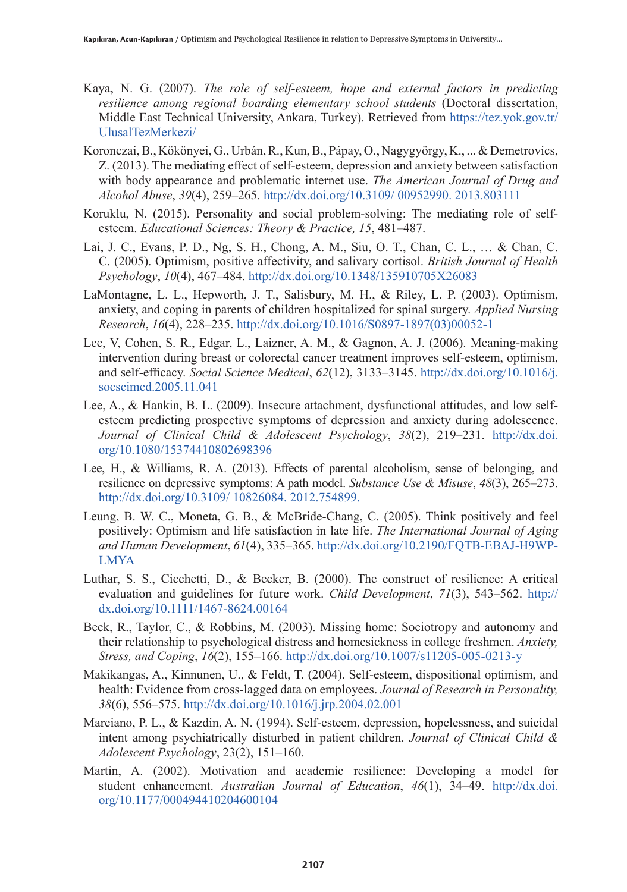- Kaya, N. G. (2007). *The role of self-esteem, hope and external factors in predicting resilience among regional boarding elementary school students* (Doctoral dissertation, Middle East Technical University, Ankara, Turkey). Retrieved from https://tez.yok.gov.tr/ UlusalTezMerkezi/
- Koronczai, B., Kökönyei, G., Urbán, R., Kun, B., Pápay, O., Nagygyörgy, K., ... & Demetrovics, Z. (2013). The mediating effect of self-esteem, depression and anxiety between satisfaction with body appearance and problematic internet use. *The American Journal of Drug and Alcohol Abuse*, *39*(4), 259–265. http://dx.doi.org/10.3109/ 00952990. 2013.803111
- Koruklu, N. (2015). Personality and social problem-solving: The mediating role of selfesteem. *Educational Sciences: Theory & Practice, 15*, 481–487.
- Lai, J. C., Evans, P. D., Ng, S. H., Chong, A. M., Siu, O. T., Chan, C. L., … & Chan, C. C. (2005). Optimism, positive affectivity, and salivary cortisol. *British Journal of Health Psychology*, *10*(4), 467–484. http://dx.doi.org/10.1348/135910705X26083
- LaMontagne, L. L., Hepworth, J. T., Salisbury, M. H., & Riley, L. P. (2003). Optimism, anxiety, and coping in parents of children hospitalized for spinal surgery. *Applied Nursing Research*, *16*(4), 228–235. http://dx.doi.org/10.1016/S0897-1897(03)00052-1
- Lee, V, Cohen, S. R., Edgar, L., Laizner, A. M., & Gagnon, A. J. (2006). Meaning-making intervention during breast or colorectal cancer treatment improves self-esteem, optimism, and self-efficacy. *Social Science Medical*, *62*(12), 3133–3145. http://dx.doi.org/10.1016/j. socscimed.2005.11.041
- Lee, A., & Hankin, B. L. (2009). Insecure attachment, dysfunctional attitudes, and low selfesteem predicting prospective symptoms of depression and anxiety during adolescence. *Journal of Clinical Child & Adolescent Psychology*, *38*(2), 219–231. http://dx.doi. org/10.1080/15374410802698396
- Lee, H., & Williams, R. A. (2013). Effects of parental alcoholism, sense of belonging, and resilience on depressive symptoms: A path model. *Substance Use & Misuse*, *48*(3), 265–273. http://dx.doi.org/10.3109/ 10826084. 2012.754899.
- Leung, B. W. C., Moneta, G. B., & McBride-Chang, C. (2005). Think positively and feel positively: Optimism and life satisfaction in late life. *The International Journal of Aging and Human Development*, *61*(4), 335–365. http://dx.doi.org/10.2190/FQTB-EBAJ-H9WP-LMYA
- Luthar, S. S., Cicchetti, D., & Becker, B. (2000). The construct of resilience: A critical evaluation and guidelines for future work. *Child Development*, *71*(3), 543–562. http:// dx.doi.org/10.1111/1467-8624.00164
- Beck, R., Taylor, C., & Robbins, M. (2003). Missing home: Sociotropy and autonomy and their relationship to psychological distress and homesickness in college freshmen. *Anxiety, Stress, and Coping*, *16*(2), 155–166. http://dx.doi.org/10.1007/s11205-005-0213-y
- Makikangas, A., Kinnunen, U., & Feldt, T. (2004). Self-esteem, dispositional optimism, and health: Evidence from cross-lagged data on employees. *Journal of Research in Personality, 38*(6), 556–575. http://dx.doi.org/10.1016/j.jrp.2004.02.001
- Marciano, P. L., & Kazdin, A. N. (1994). Self-esteem, depression, hopelessness, and suicidal intent among psychiatrically disturbed in patient children. *Journal of Clinical Child & Adolescent Psychology*, 23(2), 151–160.
- Martin, A. (2002). Motivation and academic resilience: Developing a model for student enhancement. *Australian Journal of Education*, *46*(1), 34–49. http://dx.doi. org/10.1177/000494410204600104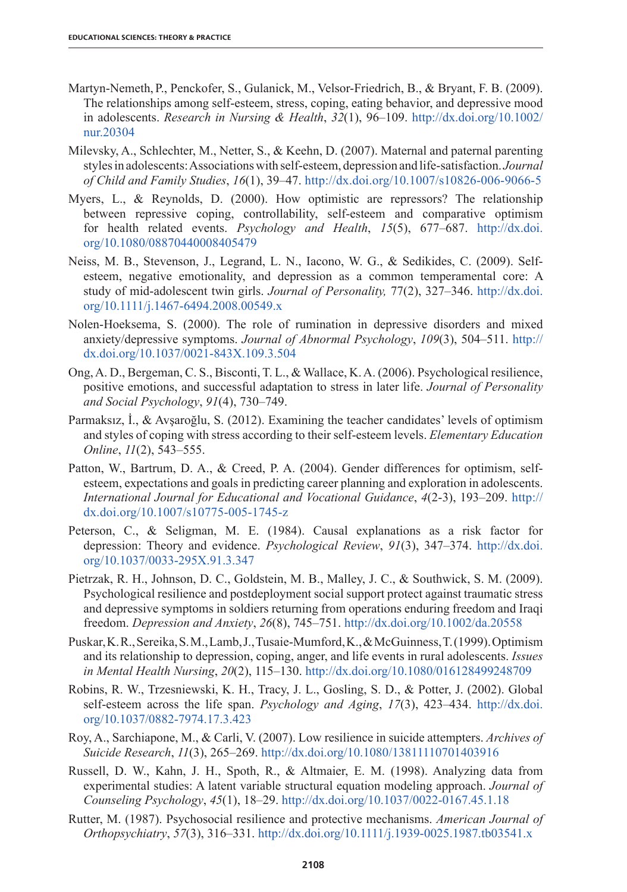- Martyn-Nemeth, P., Penckofer, S., Gulanick, M., Velsor-Friedrich, B., & Bryant, F. B. (2009). The relationships among self-esteem, stress, coping, eating behavior, and depressive mood in adolescents. *Research in Nursing & Health*, *32*(1), 96–109. http://dx.doi.org/10.1002/ nur.20304
- Milevsky, A., Schlechter, M., Netter, S., & Keehn, D. (2007). Maternal and paternal parenting styles in adolescents: Associations with self-esteem, depression and life-satisfaction. *Journal of Child and Family Studies*, *16*(1), 39–47. http://dx.doi.org/10.1007/s10826-006-9066-5
- Myers, L., & Reynolds, D. (2000). How optimistic are repressors? The relationship between repressive coping, controllability, self-esteem and comparative optimism for health related events. *Psychology and Health*, *15*(5), 677–687. http://dx.doi. org/10.1080/08870440008405479
- Neiss, M. B., Stevenson, J., Legrand, L. N., Iacono, W. G., & Sedikides, C. (2009). Selfesteem, negative emotionality, and depression as a common temperamental core: A study of mid-adolescent twin girls. *Journal of Personality,* 77(2), 327–346. http://dx.doi. org/10.1111/j.1467-6494.2008.00549.x
- Nolen-Hoeksema, S. (2000). The role of rumination in depressive disorders and mixed anxiety/depressive symptoms. *Journal of Abnormal Psychology*, *109*(3), 504–511. http:// dx.doi.org/10.1037/0021-843X.109.3.504
- Ong, A. D., Bergeman, C. S., Bisconti, T. L., & Wallace, K. A. (2006). Psychological resilience, positive emotions, and successful adaptation to stress in later life. *Journal of Personality and Social Psychology*, *91*(4), 730–749.
- Parmaksız, İ., & Avşaroğlu, S. (2012). Examining the teacher candidates' levels of optimism and styles of coping with stress according to their self-esteem levels. *Elementary Education Online*, *11*(2), 543–555.
- Patton, W., Bartrum, D. A., & Creed, P. A. (2004). Gender differences for optimism, selfesteem, expectations and goals in predicting career planning and exploration in adolescents. *International Journal for Educational and Vocational Guidance*, *4*(2-3), 193–209. http:// dx.doi.org/10.1007/s10775-005-1745-z
- Peterson, C., & Seligman, M. E. (1984). Causal explanations as a risk factor for depression: Theory and evidence. *Psychological Review*, *91*(3), 347–374. http://dx.doi. org/10.1037/0033-295X.91.3.347
- Pietrzak, R. H., Johnson, D. C., Goldstein, M. B., Malley, J. C., & Southwick, S. M. (2009). Psychological resilience and postdeployment social support protect against traumatic stress and depressive symptoms in soldiers returning from operations enduring freedom and Iraqi freedom. *Depression and Anxiety*, *26*(8), 745–751. http://dx.doi.org/10.1002/da.20558
- Puskar, K. R., Sereika, S. M., Lamb, J., Tusaie-Mumford, K., & McGuinness, T. (1999). Optimism and its relationship to depression, coping, anger, and life events in rural adolescents. *Issues in Mental Health Nursing*, *20*(2), 115–130. http://dx.doi.org/10.1080/016128499248709
- Robins, R. W., Trzesniewski, K. H., Tracy, J. L., Gosling, S. D., & Potter, J. (2002). Global self-esteem across the life span. *Psychology and Aging*, *17*(3), 423–434. http://dx.doi. org/10.1037/0882-7974.17.3.423
- Roy, A., Sarchiapone, M., & Carli, V. (2007). Low resilience in suicide attempters. *Archives of Suicide Research*, *11*(3), 265–269. http://dx.doi.org/10.1080/13811110701403916
- Russell, D. W., Kahn, J. H., Spoth, R., & Altmaier, E. M. (1998). Analyzing data from experimental studies: A latent variable structural equation modeling approach. *Journal of Counseling Psychology*, *45*(1), 18–29. http://dx.doi.org/10.1037/0022-0167.45.1.18
- Rutter, M. (1987). Psychosocial resilience and protective mechanisms. *American Journal of Orthopsychiatry*, *57*(3), 316–331. http://dx.doi.org/10.1111/j.1939-0025.1987.tb03541.x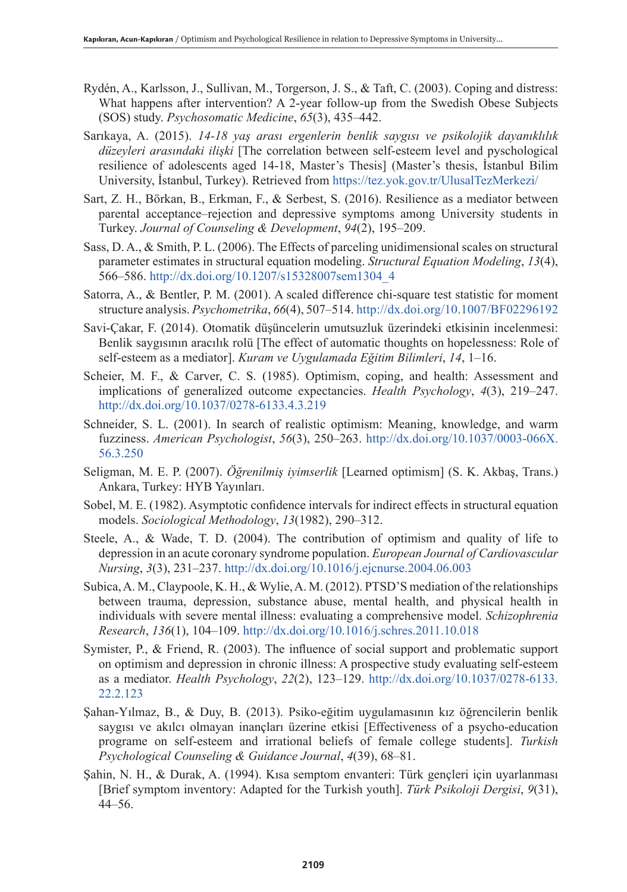- Rydén, A., Karlsson, J., Sullivan, M., Torgerson, J. S., & Taft, C. (2003). Coping and distress: What happens after intervention? A 2-year follow-up from the Swedish Obese Subjects (SOS) study. *Psychosomatic Medicine*, *65*(3), 435–442.
- Sarıkaya, A. (2015). *14-18 yaş arası ergenlerin benlik saygısı ve psikolojik dayanıklılık düzeyleri arasındaki ilişki* [The correlation between self-esteem level and pyschological resilience of adolescents aged 14-18, Master's Thesis] (Master's thesis, İstanbul Bilim University, İstanbul, Turkey). Retrieved from https://tez.yok.gov.tr/UlusalTezMerkezi/
- Sart, Z. H., Börkan, B., Erkman, F., & Serbest, S. (2016). Resilience as a mediator between parental acceptance–rejection and depressive symptoms among University students in Turkey. *Journal of Counseling & Development*, *94*(2), 195–209.
- Sass, D. A., & Smith, P. L. (2006). The Effects of parceling unidimensional scales on structural parameter estimates in structural equation modeling. *Structural Equation Modeling*, *13*(4), 566–586. http://dx.doi.org/10.1207/s15328007sem1304\_4
- Satorra, A., & Bentler, P. M. (2001). A scaled difference chi-square test statistic for moment structure analysis. *Psychometrika*, *66*(4), 507–514. http://dx.doi.org/10.1007/BF02296192
- Savi-Çakar, F. (2014). Otomatik düşüncelerin umutsuzluk üzerindeki etkisinin incelenmesi: Benlik saygısının aracılık rolü [The effect of automatic thoughts on hopelessness: Role of self-esteem as a mediator]. *Kuram ve Uygulamada Eğitim Bilimleri*, *14*, 1–16.
- Scheier, M. F., & Carver, C. S. (1985). Optimism, coping, and health: Assessment and implications of generalized outcome expectancies. *Health Psychology*, *4*(3), 219–247. http://dx.doi.org/10.1037/0278-6133.4.3.219
- Schneider, S. L. (2001). In search of realistic optimism: Meaning, knowledge, and warm fuzziness. *American Psychologist*, *56*(3), 250–263. http://dx.doi.org/10.1037/0003-066X. 56.3.250
- Seligman, M. E. P. (2007). *Öğrenilmiş iyimserlik* [Learned optimism] (S. K. Akbaş, Trans.) Ankara, Turkey: HYB Yayınları.
- Sobel, M. E. (1982). Asymptotic confidence intervals for indirect effects in structural equation models. *Sociological Methodology*, *13*(1982), 290–312.
- Steele, A., & Wade, T. D. (2004). The contribution of optimism and quality of life to depression in an acute coronary syndrome population. *European Journal of Cardiovascular Nursing*, *3*(3), 231–237. http://dx.doi.org/10.1016/j.ejcnurse.2004.06.003
- Subica, A. M., Claypoole, K. H., & Wylie, A. M. (2012). PTSD'S mediation of the relationships between trauma, depression, substance abuse, mental health, and physical health in individuals with severe mental illness: evaluating a comprehensive model. *Schizophrenia Research*, *136*(1), 104–109. http://dx.doi.org/10.1016/j.schres.2011.10.018
- Symister, P., & Friend, R. (2003). The influence of social support and problematic support on optimism and depression in chronic illness: A prospective study evaluating self-esteem as a mediator. *Health Psychology*, *22*(2), 123–129. http://dx.doi.org/10.1037/0278-6133. 22.2.123
- Şahan-Yılmaz, B., & Duy, B. (2013). Psiko-eğitim uygulamasının kız öğrencilerin benlik saygısı ve akılcı olmayan inançları üzerine etkisi [Effectiveness of a psycho-education programe on self-esteem and irrational beliefs of female college students]. *Turkish Psychological Counseling & Guidance Journal*, *4*(39), 68–81.
- Şahin, N. H., & Durak, A. (1994). Kısa semptom envanteri: Türk gençleri için uyarlanması [Brief symptom inventory: Adapted for the Turkish youth]. *Türk Psikoloji Dergisi*, *9*(31), 44–56.